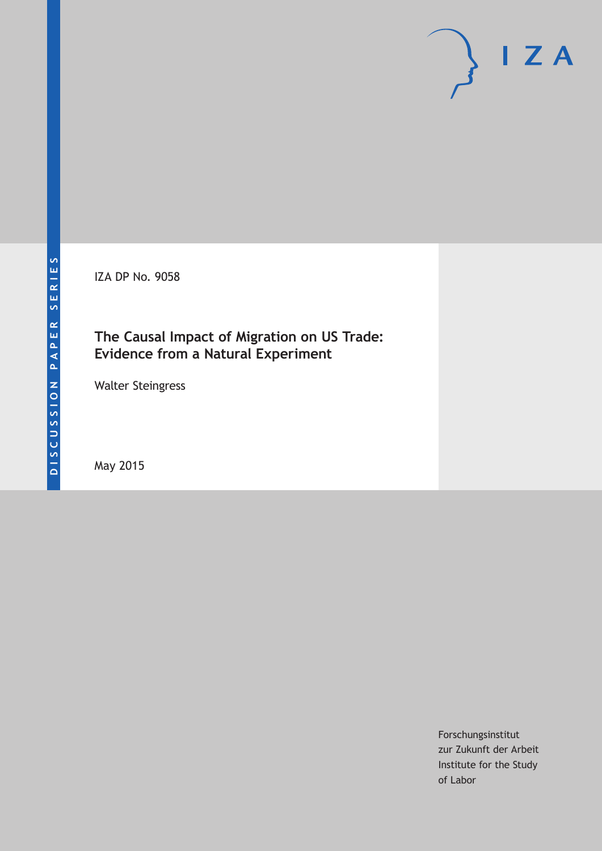IZA DP No. 9058

# **The Causal Impact of Migration on US Trade: Evidence from a Natural Experiment**

Walter Steingress

May 2015

Forschungsinstitut zur Zukunft der Arbeit Institute for the Study of Labor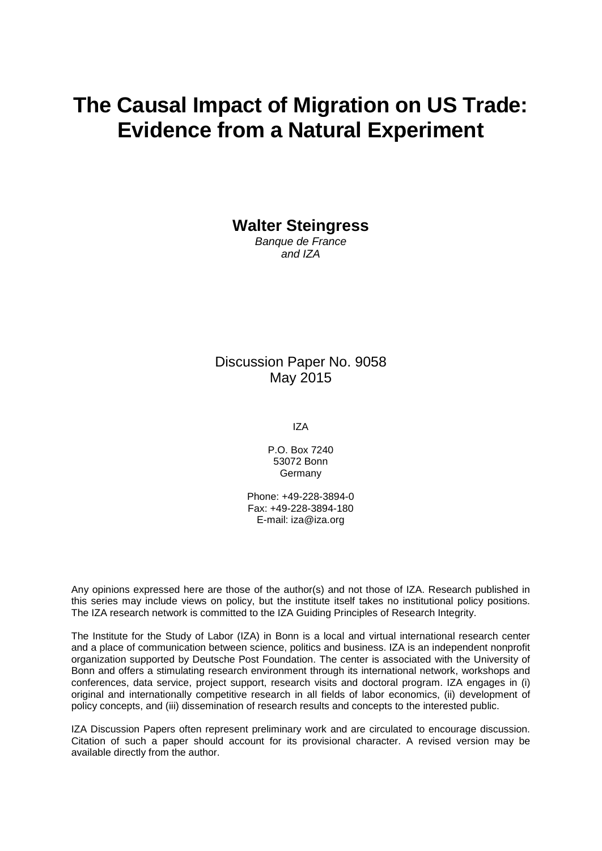# **The Causal Impact of Migration on US Trade: Evidence from a Natural Experiment**

**Walter Steingress**

*Banque de France and IZA*

Discussion Paper No. 9058 May 2015

IZA

P.O. Box 7240 53072 Bonn Germany

Phone: +49-228-3894-0 Fax: +49-228-3894-180 E-mail: iza@iza.org

Any opinions expressed here are those of the author(s) and not those of IZA. Research published in this series may include views on policy, but the institute itself takes no institutional policy positions. The IZA research network is committed to the IZA Guiding Principles of Research Integrity.

The Institute for the Study of Labor (IZA) in Bonn is a local and virtual international research center and a place of communication between science, politics and business. IZA is an independent nonprofit organization supported by Deutsche Post Foundation. The center is associated with the University of Bonn and offers a stimulating research environment through its international network, workshops and conferences, data service, project support, research visits and doctoral program. IZA engages in (i) original and internationally competitive research in all fields of labor economics, (ii) development of policy concepts, and (iii) dissemination of research results and concepts to the interested public.

<span id="page-1-0"></span>IZA Discussion Papers often represent preliminary work and are circulated to encourage discussion. Citation of such a paper should account for its provisional character. A revised version may be available directly from the author.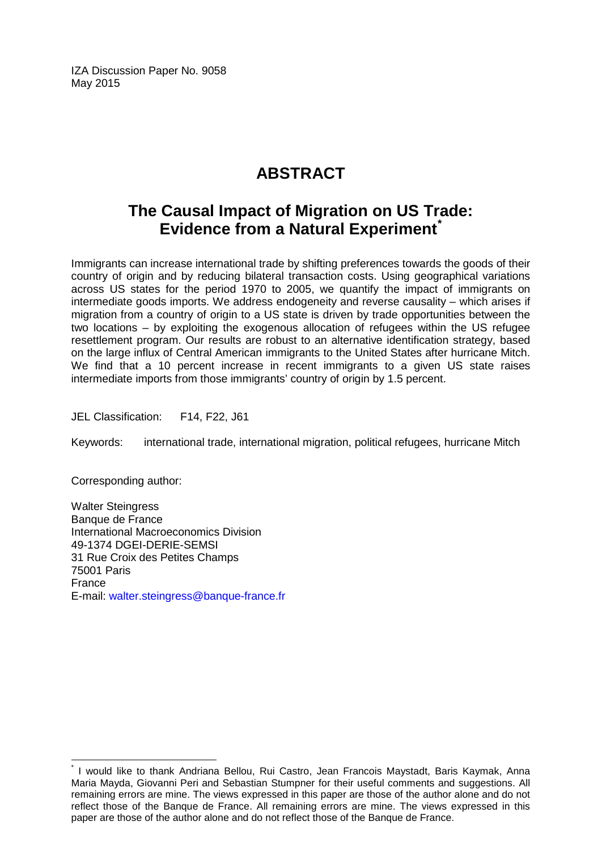IZA Discussion Paper No. 9058 May 2015

# **ABSTRACT**

# **The Causal Impact of Migration on US Trade: Evidence from a Natural Experiment[\\*](#page-1-0)**

Immigrants can increase international trade by shifting preferences towards the goods of their country of origin and by reducing bilateral transaction costs. Using geographical variations across US states for the period 1970 to 2005, we quantify the impact of immigrants on intermediate goods imports. We address endogeneity and reverse causality – which arises if migration from a country of origin to a US state is driven by trade opportunities between the two locations – by exploiting the exogenous allocation of refugees within the US refugee resettlement program. Our results are robust to an alternative identification strategy, based on the large influx of Central American immigrants to the United States after hurricane Mitch. We find that a 10 percent increase in recent immigrants to a given US state raises intermediate imports from those immigrants' country of origin by 1.5 percent.

JEL Classification: F14, F22, J61

Keywords: international trade, international migration, political refugees, hurricane Mitch

Corresponding author:

Walter Steingress Banque de France International Macroeconomics Division 49-1374 DGEI-DERIE-SEMSI 31 Rue Croix des Petites Champs 75001 Paris France E-mail: [walter.steingress@banque-france.fr](mailto:walter.steingress@banque-france.fr)

I would like to thank Andriana Bellou, Rui Castro, Jean Francois Maystadt, Baris Kaymak, Anna Maria Mayda, Giovanni Peri and Sebastian Stumpner for their useful comments and suggestions. All remaining errors are mine. The views expressed in this paper are those of the author alone and do not reflect those of the Banque de France. All remaining errors are mine. The views expressed in this paper are those of the author alone and do not reflect those of the Banque de France.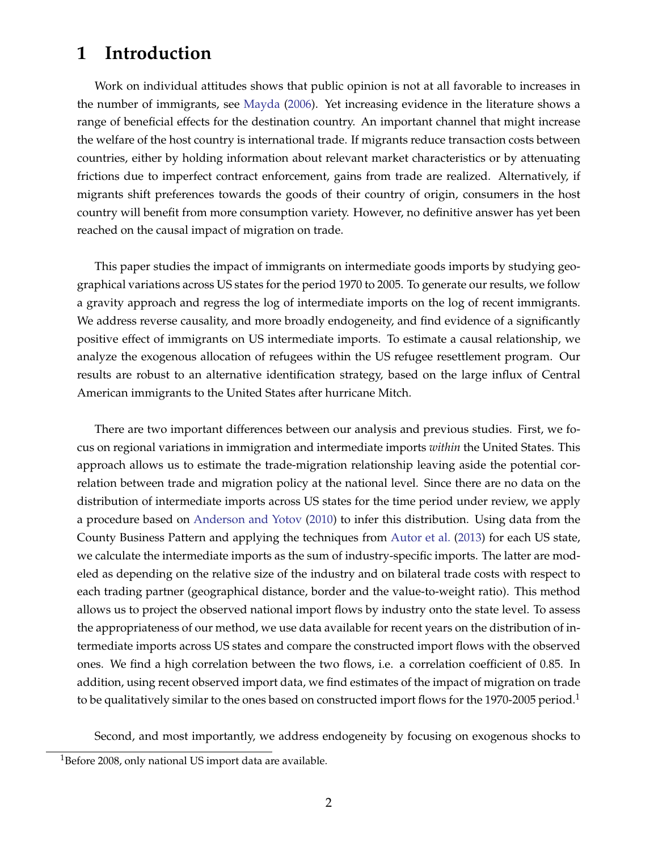# **1 Introduction**

Work on individual attitudes shows that public opinion is not at all favorable to increases in the number of immigrants, see [Mayda](#page-26-0) [\(2006\)](#page-26-0). Yet increasing evidence in the literature shows a range of beneficial effects for the destination country. An important channel that might increase the welfare of the host country is international trade. If migrants reduce transaction costs between countries, either by holding information about relevant market characteristics or by attenuating frictions due to imperfect contract enforcement, gains from trade are realized. Alternatively, if migrants shift preferences towards the goods of their country of origin, consumers in the host country will benefit from more consumption variety. However, no definitive answer has yet been reached on the causal impact of migration on trade.

This paper studies the impact of immigrants on intermediate goods imports by studying geographical variations across US states for the period 1970 to 2005. To generate our results, we follow a gravity approach and regress the log of intermediate imports on the log of recent immigrants. We address reverse causality, and more broadly endogeneity, and find evidence of a significantly positive effect of immigrants on US intermediate imports. To estimate a causal relationship, we analyze the exogenous allocation of refugees within the US refugee resettlement program. Our results are robust to an alternative identification strategy, based on the large influx of Central American immigrants to the United States after hurricane Mitch.

There are two important differences between our analysis and previous studies. First, we focus on regional variations in immigration and intermediate imports *within* the United States. This approach allows us to estimate the trade-migration relationship leaving aside the potential correlation between trade and migration policy at the national level. Since there are no data on the distribution of intermediate imports across US states for the time period under review, we apply a procedure based on [Anderson and Yotov](#page-25-0) [\(2010\)](#page-25-0) to infer this distribution. Using data from the County Business Pattern and applying the techniques from [Autor et al.](#page-25-1) [\(2013\)](#page-25-1) for each US state, we calculate the intermediate imports as the sum of industry-specific imports. The latter are modeled as depending on the relative size of the industry and on bilateral trade costs with respect to each trading partner (geographical distance, border and the value-to-weight ratio). This method allows us to project the observed national import flows by industry onto the state level. To assess the appropriateness of our method, we use data available for recent years on the distribution of intermediate imports across US states and compare the constructed import flows with the observed ones. We find a high correlation between the two flows, i.e. a correlation coefficient of 0.85. In addition, using recent observed import data, we find estimates of the impact of migration on trade to be qualitatively similar to the ones based on constructed import flows for the 1970-2005 period.<sup>1</sup>

Second, and most importantly, we address endogeneity by focusing on exogenous shocks to

<span id="page-3-0"></span><sup>&</sup>lt;sup>1</sup>Before 2008, only national US import data are available.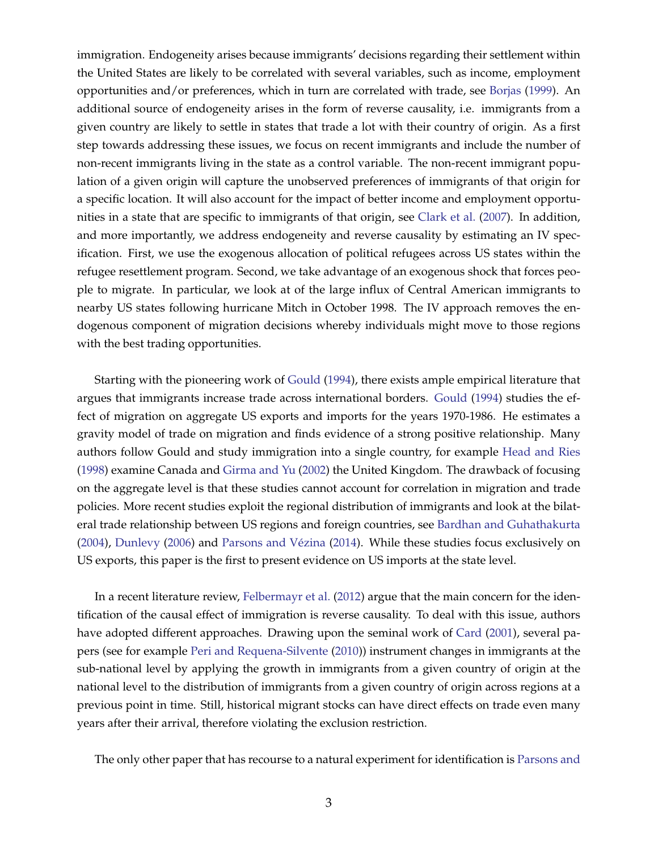immigration. Endogeneity arises because immigrants' decisions regarding their settlement within the United States are likely to be correlated with several variables, such as income, employment opportunities and/or preferences, which in turn are correlated with trade, see [Borjas](#page-25-2) [\(1999\)](#page-25-2). An additional source of endogeneity arises in the form of reverse causality, i.e. immigrants from a given country are likely to settle in states that trade a lot with their country of origin. As a first step towards addressing these issues, we focus on recent immigrants and include the number of non-recent immigrants living in the state as a control variable. The non-recent immigrant population of a given origin will capture the unobserved preferences of immigrants of that origin for a specific location. It will also account for the impact of better income and employment opportunities in a state that are specific to immigrants of that origin, see [Clark et al.](#page-25-3) [\(2007\)](#page-25-3). In addition, and more importantly, we address endogeneity and reverse causality by estimating an IV specification. First, we use the exogenous allocation of political refugees across US states within the refugee resettlement program. Second, we take advantage of an exogenous shock that forces people to migrate. In particular, we look at of the large influx of Central American immigrants to nearby US states following hurricane Mitch in October 1998. The IV approach removes the endogenous component of migration decisions whereby individuals might move to those regions with the best trading opportunities.

Starting with the pioneering work of [Gould](#page-26-1) [\(1994\)](#page-26-1), there exists ample empirical literature that argues that immigrants increase trade across international borders. [Gould](#page-26-1) [\(1994\)](#page-26-1) studies the effect of migration on aggregate US exports and imports for the years 1970-1986. He estimates a gravity model of trade on migration and finds evidence of a strong positive relationship. Many authors follow Gould and study immigration into a single country, for example [Head and Ries](#page-26-2) [\(1998\)](#page-26-2) examine Canada and [Girma and Yu](#page-25-4) [\(2002\)](#page-25-4) the United Kingdom. The drawback of focusing on the aggregate level is that these studies cannot account for correlation in migration and trade policies. More recent studies exploit the regional distribution of immigrants and look at the bilateral trade relationship between US regions and foreign countries, see [Bardhan and Guhathakurta](#page-25-5) [\(2004\)](#page-25-5), [Dunlevy](#page-25-6) [\(2006\)](#page-25-6) and [Parsons and Vézina](#page-26-3) [\(2014\)](#page-26-3). While these studies focus exclusively on US exports, this paper is the first to present evidence on US imports at the state level.

In a recent literature review, [Felbermayr et al.](#page-25-7) [\(2012\)](#page-25-7) argue that the main concern for the identification of the causal effect of immigration is reverse causality. To deal with this issue, authors have adopted different approaches. Drawing upon the seminal work of [Card](#page-25-8) [\(2001\)](#page-25-8), several papers (see for example [Peri and Requena-Silvente](#page-26-4) [\(2010\)](#page-26-4)) instrument changes in immigrants at the sub-national level by applying the growth in immigrants from a given country of origin at the national level to the distribution of immigrants from a given country of origin across regions at a previous point in time. Still, historical migrant stocks can have direct effects on trade even many years after their arrival, therefore violating the exclusion restriction.

The only other paper that has recourse to a natural experiment for identification is [Parsons and](#page-26-3)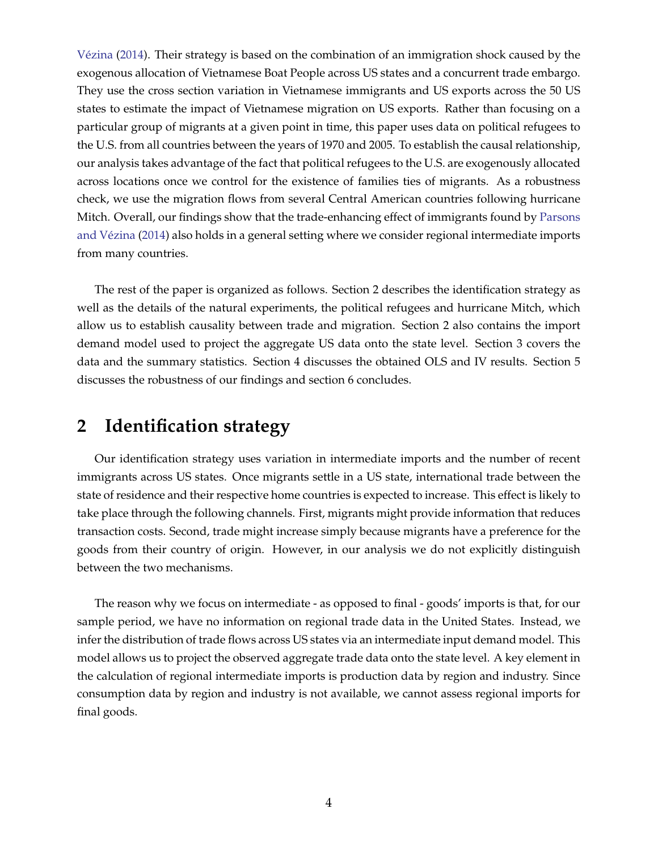[Vézina](#page-26-3) [\(2014\)](#page-26-3). Their strategy is based on the combination of an immigration shock caused by the exogenous allocation of Vietnamese Boat People across US states and a concurrent trade embargo. They use the cross section variation in Vietnamese immigrants and US exports across the 50 US states to estimate the impact of Vietnamese migration on US exports. Rather than focusing on a particular group of migrants at a given point in time, this paper uses data on political refugees to the U.S. from all countries between the years of 1970 and 2005. To establish the causal relationship, our analysis takes advantage of the fact that political refugees to the U.S. are exogenously allocated across locations once we control for the existence of families ties of migrants. As a robustness check, we use the migration flows from several Central American countries following hurricane Mitch. Overall, our findings show that the trade-enhancing effect of immigrants found by [Parsons](#page-26-3) [and Vézina](#page-26-3) [\(2014\)](#page-26-3) also holds in a general setting where we consider regional intermediate imports from many countries.

The rest of the paper is organized as follows. Section 2 describes the identification strategy as well as the details of the natural experiments, the political refugees and hurricane Mitch, which allow us to establish causality between trade and migration. Section 2 also contains the import demand model used to project the aggregate US data onto the state level. Section 3 covers the data and the summary statistics. Section 4 discusses the obtained OLS and IV results. Section 5 discusses the robustness of our findings and section 6 concludes.

# **2 Identification strategy**

Our identification strategy uses variation in intermediate imports and the number of recent immigrants across US states. Once migrants settle in a US state, international trade between the state of residence and their respective home countries is expected to increase. This effect is likely to take place through the following channels. First, migrants might provide information that reduces transaction costs. Second, trade might increase simply because migrants have a preference for the goods from their country of origin. However, in our analysis we do not explicitly distinguish between the two mechanisms.

The reason why we focus on intermediate - as opposed to final - goods' imports is that, for our sample period, we have no information on regional trade data in the United States. Instead, we infer the distribution of trade flows across US states via an intermediate input demand model. This model allows us to project the observed aggregate trade data onto the state level. A key element in the calculation of regional intermediate imports is production data by region and industry. Since consumption data by region and industry is not available, we cannot assess regional imports for final goods.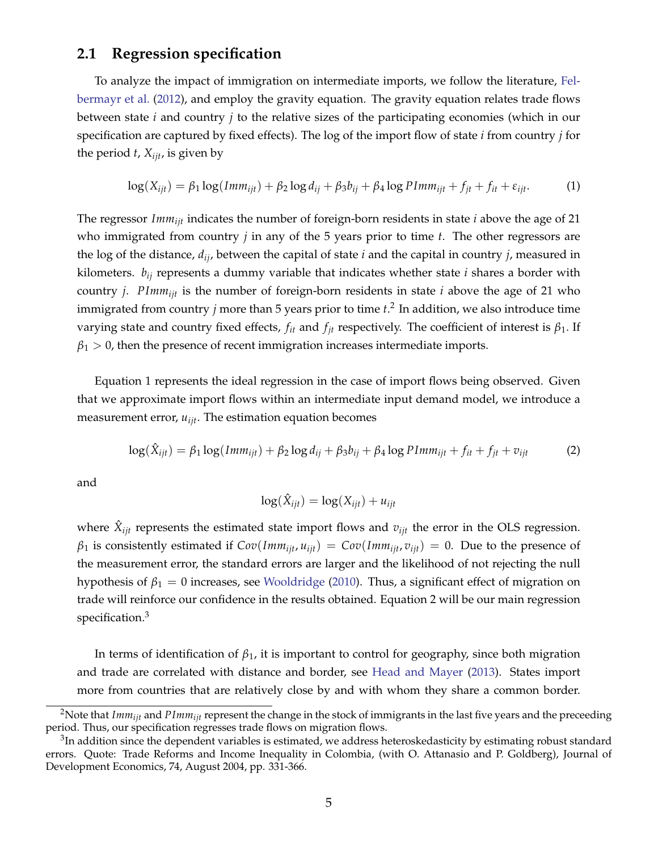## **2.1 Regression specification**

To analyze the impact of immigration on intermediate imports, we follow the literature, [Fel](#page-25-7)[bermayr et al.](#page-25-7) [\(2012\)](#page-25-7), and employ the gravity equation. The gravity equation relates trade flows between state *i* and country *j* to the relative sizes of the participating economies (which in our specification are captured by fixed effects). The log of the import flow of state *i* from country *j* for the period  $t$ ,  $X_{ijt}$ , is given by

<span id="page-6-1"></span>
$$
\log(X_{ijt}) = \beta_1 \log(Imm_{ijt}) + \beta_2 \log d_{ij} + \beta_3 b_{ij} + \beta_4 \log PImm_{ijt} + f_{jt} + f_{it} + \varepsilon_{ijt}.
$$
 (1)

The regressor *Immijt* indicates the number of foreign-born residents in state *i* above the age of 21 who immigrated from country *j* in any of the 5 years prior to time *t*. The other regressors are the log of the distance, *dij*, between the capital of state *i* and the capital in country *j*, measured in kilometers. *bij* represents a dummy variable that indicates whether state *i* shares a border with country *j*. *PImmijt* is the number of foreign-born residents in state *i* above the age of 21 who immigrated from country *j* more than 5 years prior to time *t*. [2](#page-6-0) In addition, we also introduce time varying state and country fixed effects,  $f_{it}$  and  $f_{it}$  respectively. The coefficient of interest is  $\beta_1$ . If  $\beta_1$  > 0, then the presence of recent immigration increases intermediate imports.

Equation [1](#page-6-1) represents the ideal regression in the case of import flows being observed. Given that we approximate import flows within an intermediate input demand model, we introduce a measurement error, *uijt*. The estimation equation becomes

<span id="page-6-2"></span>
$$
\log(\hat{X}_{ijt}) = \beta_1 \log(Imm_{ijt}) + \beta_2 \log d_{ij} + \beta_3 b_{ij} + \beta_4 \log PImm_{ijt} + f_{it} + f_{jt} + v_{ijt}
$$
 (2)

and

$$
\log(\hat{X}_{ijt}) = \log(X_{ijt}) + u_{ijt}
$$

where  $\hat{X}_{ijt}$  represents the estimated state import flows and  $v_{ijt}$  the error in the OLS regression.  $\beta_1$  is consistently estimated if  $Cov(Imm_{iit}, u_{iit}) = Cov(Imm_{iit}, v_{iit}) = 0$ . Due to the presence of the measurement error, the standard errors are larger and the likelihood of not rejecting the null hypothesis of  $\beta_1 = 0$  increases, see [Wooldridge](#page-27-0) [\(2010\)](#page-27-0). Thus, a significant effect of migration on trade will reinforce our confidence in the results obtained. Equation [2](#page-6-2) will be our main regression specification[.3](#page-6-3)

In terms of identification of  $\beta_1$ , it is important to control for geography, since both migration and trade are correlated with distance and border, see [Head and Mayer](#page-26-5) [\(2013\)](#page-26-5). States import more from countries that are relatively close by and with whom they share a common border.

<span id="page-6-0"></span><sup>&</sup>lt;sup>2</sup>Note that *Imm<sub>iit</sub>* and *PImm<sub>iit</sub>* represent the change in the stock of immigrants in the last five years and the preceeding period. Thus, our specification regresses trade flows on migration flows.

<span id="page-6-3"></span><sup>&</sup>lt;sup>3</sup>In addition since the dependent variables is estimated, we address heteroskedasticity by estimating robust standard errors. Quote: Trade Reforms and Income Inequality in Colombia, (with O. Attanasio and P. Goldberg), Journal of Development Economics, 74, August 2004, pp. 331-366.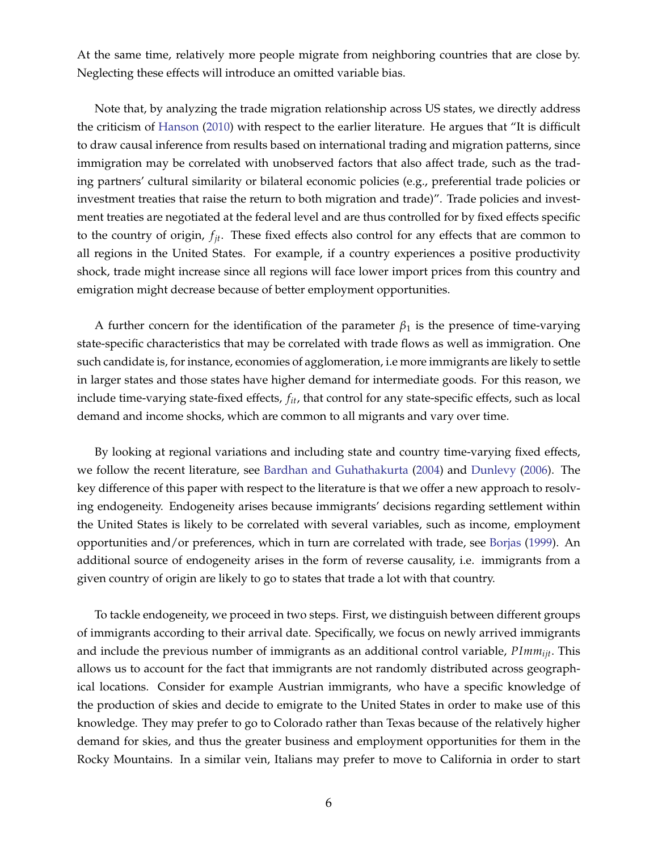At the same time, relatively more people migrate from neighboring countries that are close by. Neglecting these effects will introduce an omitted variable bias.

Note that, by analyzing the trade migration relationship across US states, we directly address the criticism of [Hanson](#page-26-6) [\(2010\)](#page-26-6) with respect to the earlier literature. He argues that "It is difficult to draw causal inference from results based on international trading and migration patterns, since immigration may be correlated with unobserved factors that also affect trade, such as the trading partners' cultural similarity or bilateral economic policies (e.g., preferential trade policies or investment treaties that raise the return to both migration and trade)". Trade policies and investment treaties are negotiated at the federal level and are thus controlled for by fixed effects specific to the country of origin, *fjt*. These fixed effects also control for any effects that are common to all regions in the United States. For example, if a country experiences a positive productivity shock, trade might increase since all regions will face lower import prices from this country and emigration might decrease because of better employment opportunities.

A further concern for the identification of the parameter  $\beta_1$  is the presence of time-varying state-specific characteristics that may be correlated with trade flows as well as immigration. One such candidate is, for instance, economies of agglomeration, i.e more immigrants are likely to settle in larger states and those states have higher demand for intermediate goods. For this reason, we include time-varying state-fixed effects, *fit*, that control for any state-specific effects, such as local demand and income shocks, which are common to all migrants and vary over time.

By looking at regional variations and including state and country time-varying fixed effects, we follow the recent literature, see [Bardhan and Guhathakurta](#page-25-5) [\(2004\)](#page-25-5) and [Dunlevy](#page-25-6) [\(2006\)](#page-25-6). The key difference of this paper with respect to the literature is that we offer a new approach to resolving endogeneity. Endogeneity arises because immigrants' decisions regarding settlement within the United States is likely to be correlated with several variables, such as income, employment opportunities and/or preferences, which in turn are correlated with trade, see [Borjas](#page-25-2) [\(1999\)](#page-25-2). An additional source of endogeneity arises in the form of reverse causality, i.e. immigrants from a given country of origin are likely to go to states that trade a lot with that country.

To tackle endogeneity, we proceed in two steps. First, we distinguish between different groups of immigrants according to their arrival date. Specifically, we focus on newly arrived immigrants and include the previous number of immigrants as an additional control variable, *PImmijt*. This allows us to account for the fact that immigrants are not randomly distributed across geographical locations. Consider for example Austrian immigrants, who have a specific knowledge of the production of skies and decide to emigrate to the United States in order to make use of this knowledge. They may prefer to go to Colorado rather than Texas because of the relatively higher demand for skies, and thus the greater business and employment opportunities for them in the Rocky Mountains. In a similar vein, Italians may prefer to move to California in order to start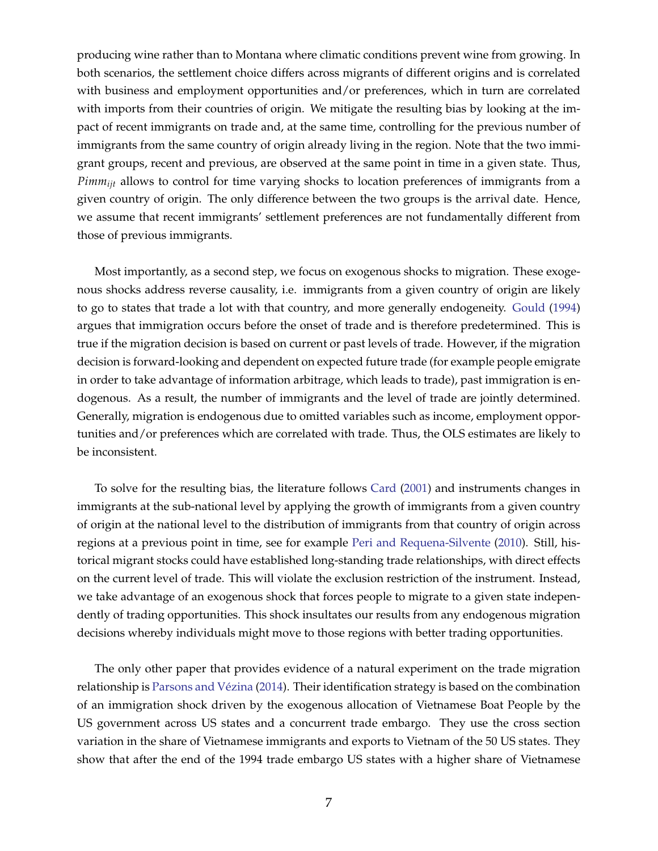producing wine rather than to Montana where climatic conditions prevent wine from growing. In both scenarios, the settlement choice differs across migrants of different origins and is correlated with business and employment opportunities and/or preferences, which in turn are correlated with imports from their countries of origin. We mitigate the resulting bias by looking at the impact of recent immigrants on trade and, at the same time, controlling for the previous number of immigrants from the same country of origin already living in the region. Note that the two immigrant groups, recent and previous, are observed at the same point in time in a given state. Thus, *Pimmijt* allows to control for time varying shocks to location preferences of immigrants from a given country of origin. The only difference between the two groups is the arrival date. Hence, we assume that recent immigrants' settlement preferences are not fundamentally different from those of previous immigrants.

Most importantly, as a second step, we focus on exogenous shocks to migration. These exogenous shocks address reverse causality, i.e. immigrants from a given country of origin are likely to go to states that trade a lot with that country, and more generally endogeneity. [Gould](#page-26-1) [\(1994\)](#page-26-1) argues that immigration occurs before the onset of trade and is therefore predetermined. This is true if the migration decision is based on current or past levels of trade. However, if the migration decision is forward-looking and dependent on expected future trade (for example people emigrate in order to take advantage of information arbitrage, which leads to trade), past immigration is endogenous. As a result, the number of immigrants and the level of trade are jointly determined. Generally, migration is endogenous due to omitted variables such as income, employment opportunities and/or preferences which are correlated with trade. Thus, the OLS estimates are likely to be inconsistent.

To solve for the resulting bias, the literature follows [Card](#page-25-8) [\(2001\)](#page-25-8) and instruments changes in immigrants at the sub-national level by applying the growth of immigrants from a given country of origin at the national level to the distribution of immigrants from that country of origin across regions at a previous point in time, see for example [Peri and Requena-Silvente](#page-26-4) [\(2010\)](#page-26-4). Still, historical migrant stocks could have established long-standing trade relationships, with direct effects on the current level of trade. This will violate the exclusion restriction of the instrument. Instead, we take advantage of an exogenous shock that forces people to migrate to a given state independently of trading opportunities. This shock insultates our results from any endogenous migration decisions whereby individuals might move to those regions with better trading opportunities.

The only other paper that provides evidence of a natural experiment on the trade migration relationship is [Parsons and Vézina](#page-26-3) [\(2014\)](#page-26-3). Their identification strategy is based on the combination of an immigration shock driven by the exogenous allocation of Vietnamese Boat People by the US government across US states and a concurrent trade embargo. They use the cross section variation in the share of Vietnamese immigrants and exports to Vietnam of the 50 US states. They show that after the end of the 1994 trade embargo US states with a higher share of Vietnamese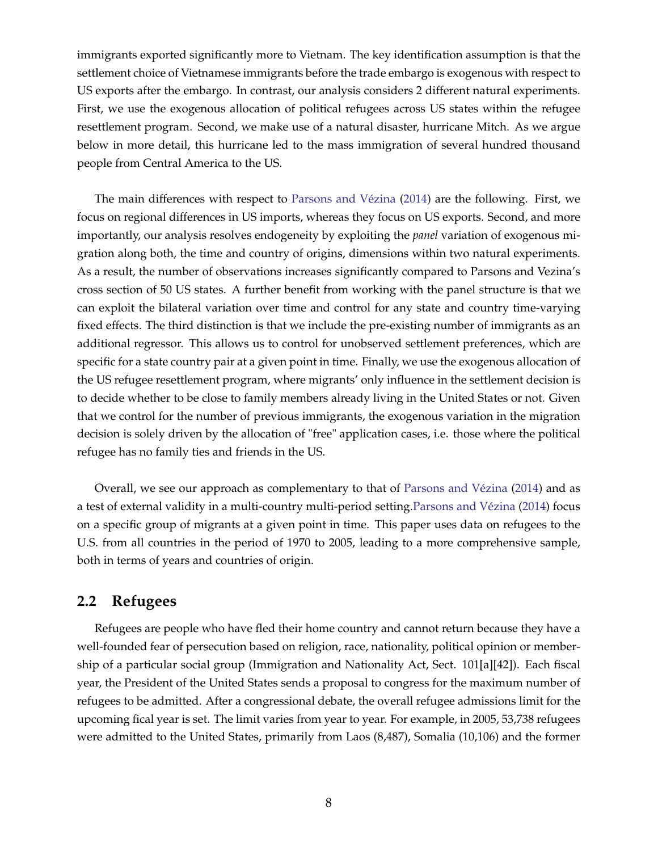immigrants exported significantly more to Vietnam. The key identification assumption is that the settlement choice of Vietnamese immigrants before the trade embargo is exogenous with respect to US exports after the embargo. In contrast, our analysis considers 2 different natural experiments. First, we use the exogenous allocation of political refugees across US states within the refugee resettlement program. Second, we make use of a natural disaster, hurricane Mitch. As we argue below in more detail, this hurricane led to the mass immigration of several hundred thousand people from Central America to the US.

The main differences with respect to [Parsons and Vézina](#page-26-3) [\(2014\)](#page-26-3) are the following. First, we focus on regional differences in US imports, whereas they focus on US exports. Second, and more importantly, our analysis resolves endogeneity by exploiting the *panel* variation of exogenous migration along both, the time and country of origins, dimensions within two natural experiments. As a result, the number of observations increases significantly compared to Parsons and Vezina's cross section of 50 US states. A further benefit from working with the panel structure is that we can exploit the bilateral variation over time and control for any state and country time-varying fixed effects. The third distinction is that we include the pre-existing number of immigrants as an additional regressor. This allows us to control for unobserved settlement preferences, which are specific for a state country pair at a given point in time. Finally, we use the exogenous allocation of the US refugee resettlement program, where migrants' only influence in the settlement decision is to decide whether to be close to family members already living in the United States or not. Given that we control for the number of previous immigrants, the exogenous variation in the migration decision is solely driven by the allocation of "free" application cases, i.e. those where the political refugee has no family ties and friends in the US.

Overall, we see our approach as complementary to that of [Parsons and Vézina](#page-26-3) [\(2014\)](#page-26-3) and as a test of external validity in a multi-country multi-period setting[.Parsons and Vézina](#page-26-3) [\(2014\)](#page-26-3) focus on a specific group of migrants at a given point in time. This paper uses data on refugees to the U.S. from all countries in the period of 1970 to 2005, leading to a more comprehensive sample, both in terms of years and countries of origin.

## **2.2 Refugees**

Refugees are people who have fled their home country and cannot return because they have a well-founded fear of persecution based on religion, race, nationality, political opinion or membership of a particular social group (Immigration and Nationality Act, Sect. 101[a][42]). Each fiscal year, the President of the United States sends a proposal to congress for the maximum number of refugees to be admitted. After a congressional debate, the overall refugee admissions limit for the upcoming fical year is set. The limit varies from year to year. For example, in 2005, 53,738 refugees were admitted to the United States, primarily from Laos (8,487), Somalia (10,106) and the former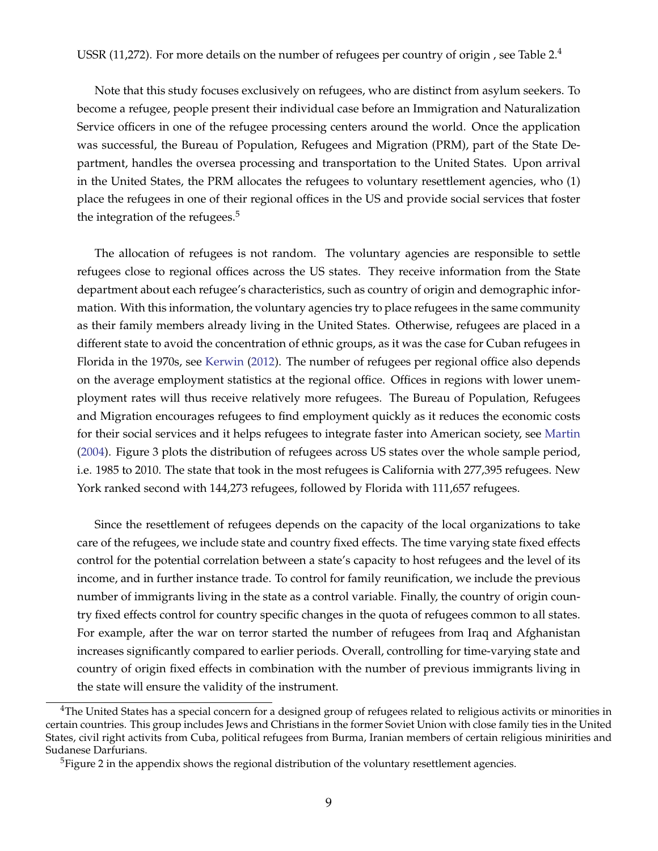USSR (11,272). For more details on the number of refugees per country of origin, see Table [2.](#page-35-0)<sup>[4](#page-10-0)</sup>

Note that this study focuses exclusively on refugees, who are distinct from asylum seekers. To become a refugee, people present their individual case before an Immigration and Naturalization Service officers in one of the refugee processing centers around the world. Once the application was successful, the Bureau of Population, Refugees and Migration (PRM), part of the State Department, handles the oversea processing and transportation to the United States. Upon arrival in the United States, the PRM allocates the refugees to voluntary resettlement agencies, who (1) place the refugees in one of their regional offices in the US and provide social services that foster the integration of the refugees. $5$ 

The allocation of refugees is not random. The voluntary agencies are responsible to settle refugees close to regional offices across the US states. They receive information from the State department about each refugee's characteristics, such as country of origin and demographic information. With this information, the voluntary agencies try to place refugees in the same community as their family members already living in the United States. Otherwise, refugees are placed in a different state to avoid the concentration of ethnic groups, as it was the case for Cuban refugees in Florida in the 1970s, see [Kerwin](#page-26-7) [\(2012\)](#page-26-7). The number of refugees per regional office also depends on the average employment statistics at the regional office. Offices in regions with lower unemployment rates will thus receive relatively more refugees. The Bureau of Population, Refugees and Migration encourages refugees to find employment quickly as it reduces the economic costs for their social services and it helps refugees to integrate faster into American society, see [Martin](#page-26-8) [\(2004\)](#page-26-8). Figure [3](#page-33-0) plots the distribution of refugees across US states over the whole sample period, i.e. 1985 to 2010. The state that took in the most refugees is California with 277,395 refugees. New York ranked second with 144,273 refugees, followed by Florida with 111,657 refugees.

Since the resettlement of refugees depends on the capacity of the local organizations to take care of the refugees, we include state and country fixed effects. The time varying state fixed effects control for the potential correlation between a state's capacity to host refugees and the level of its income, and in further instance trade. To control for family reunification, we include the previous number of immigrants living in the state as a control variable. Finally, the country of origin country fixed effects control for country specific changes in the quota of refugees common to all states. For example, after the war on terror started the number of refugees from Iraq and Afghanistan increases significantly compared to earlier periods. Overall, controlling for time-varying state and country of origin fixed effects in combination with the number of previous immigrants living in the state will ensure the validity of the instrument.

<span id="page-10-0"></span> $4$ The United States has a special concern for a designed group of refugees related to religious activits or minorities in certain countries. This group includes Jews and Christians in the former Soviet Union with close family ties in the United States, civil right activits from Cuba, political refugees from Burma, Iranian members of certain religious minirities and Sudanese Darfurians.

<span id="page-10-1"></span> $<sup>5</sup>$ Figure [2](#page-32-0) in the appendix shows the regional distribution of the voluntary resettlement agencies.</sup>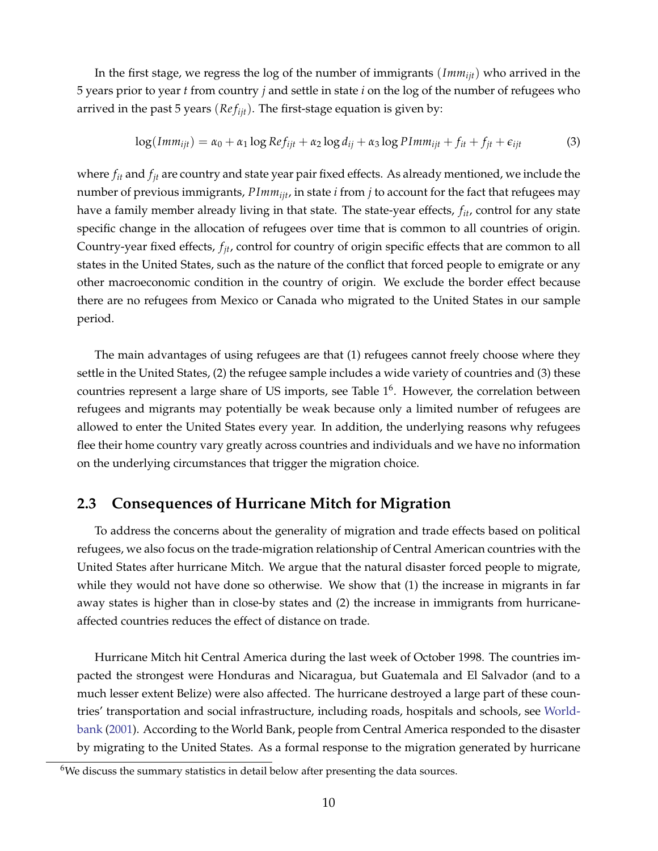In the first stage, we regress the log of the number of immigrants (*Immijt*) who arrived in the 5 years prior to year *t* from country *j* and settle in state *i* on the log of the number of refugees who arrived in the past 5 years (*Refijt*). The first-stage equation is given by:

$$
\log(Imm_{ijt}) = \alpha_0 + \alpha_1 \log Ref_{ijt} + \alpha_2 \log d_{ij} + \alpha_3 \log Plmm_{ijt} + f_{it} + f_{jt} + \epsilon_{ijt}
$$
(3)

where *fit* and *fjt* are country and state year pair fixed effects. As already mentioned, we include the number of previous immigrants, *PImmijt*, in state *i* from *j* to account for the fact that refugees may have a family member already living in that state. The state-year effects, *fit*, control for any state specific change in the allocation of refugees over time that is common to all countries of origin. Country-year fixed effects, *fjt*, control for country of origin specific effects that are common to all states in the United States, such as the nature of the conflict that forced people to emigrate or any other macroeconomic condition in the country of origin. We exclude the border effect because there are no refugees from Mexico or Canada who migrated to the United States in our sample period.

The main advantages of using refugees are that (1) refugees cannot freely choose where they settle in the United States, (2) the refugee sample includes a wide variety of countries and (3) these countries represent a large share of US imports, see Table  $1<sup>6</sup>$  $1<sup>6</sup>$ . However, the correlation between refugees and migrants may potentially be weak because only a limited number of refugees are allowed to enter the United States every year. In addition, the underlying reasons why refugees flee their home country vary greatly across countries and individuals and we have no information on the underlying circumstances that trigger the migration choice.

## **2.3 Consequences of Hurricane Mitch for Migration**

To address the concerns about the generality of migration and trade effects based on political refugees, we also focus on the trade-migration relationship of Central American countries with the United States after hurricane Mitch. We argue that the natural disaster forced people to migrate, while they would not have done so otherwise. We show that (1) the increase in migrants in far away states is higher than in close-by states and (2) the increase in immigrants from hurricaneaffected countries reduces the effect of distance on trade.

Hurricane Mitch hit Central America during the last week of October 1998. The countries impacted the strongest were Honduras and Nicaragua, but Guatemala and El Salvador (and to a much lesser extent Belize) were also affected. The hurricane destroyed a large part of these countries' transportation and social infrastructure, including roads, hospitals and schools, see [World](#page-27-1)[bank](#page-27-1) [\(2001\)](#page-27-1). According to the World Bank, people from Central America responded to the disaster by migrating to the United States. As a formal response to the migration generated by hurricane

<span id="page-11-0"></span><sup>&</sup>lt;sup>6</sup>We discuss the summary statistics in detail below after presenting the data sources.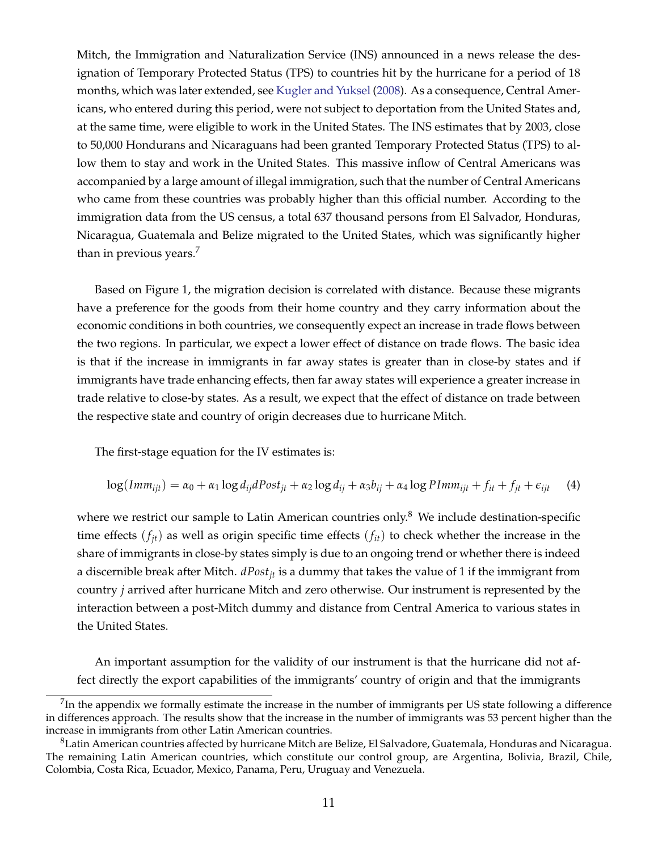Mitch, the Immigration and Naturalization Service (INS) announced in a news release the designation of Temporary Protected Status (TPS) to countries hit by the hurricane for a period of 18 months, which was later extended, see [Kugler and Yuksel](#page-26-9) [\(2008\)](#page-26-9). As a consequence, Central Americans, who entered during this period, were not subject to deportation from the United States and, at the same time, were eligible to work in the United States. The INS estimates that by 2003, close to 50,000 Hondurans and Nicaraguans had been granted Temporary Protected Status (TPS) to allow them to stay and work in the United States. This massive inflow of Central Americans was accompanied by a large amount of illegal immigration, such that the number of Central Americans who came from these countries was probably higher than this official number. According to the immigration data from the US census, a total 637 thousand persons from El Salvador, Honduras, Nicaragua, Guatemala and Belize migrated to the United States, which was significantly higher than in previous years.<sup>7</sup>

Based on Figure [1,](#page-31-0) the migration decision is correlated with distance. Because these migrants have a preference for the goods from their home country and they carry information about the economic conditions in both countries, we consequently expect an increase in trade flows between the two regions. In particular, we expect a lower effect of distance on trade flows. The basic idea is that if the increase in immigrants in far away states is greater than in close-by states and if immigrants have trade enhancing effects, then far away states will experience a greater increase in trade relative to close-by states. As a result, we expect that the effect of distance on trade between the respective state and country of origin decreases due to hurricane Mitch.

The first-stage equation for the IV estimates is:

<span id="page-12-2"></span>
$$
\log(Imm_{ijt}) = \alpha_0 + \alpha_1 \log d_{ij} dPost_{jt} + \alpha_2 \log d_{ij} + \alpha_3 b_{ij} + \alpha_4 \log PImm_{ijt} + f_{it} + f_{jt} + \epsilon_{ijt} \tag{4}
$$

where we restrict our sample to Latin American countries only.<sup>8</sup> We include destination-specific time effects  $(f_{it})$  as well as origin specific time effects  $(f_{it})$  to check whether the increase in the share of immigrants in close-by states simply is due to an ongoing trend or whether there is indeed a discernible break after Mitch. *dPostjt* is a dummy that takes the value of 1 if the immigrant from country *j* arrived after hurricane Mitch and zero otherwise. Our instrument is represented by the interaction between a post-Mitch dummy and distance from Central America to various states in the United States.

An important assumption for the validity of our instrument is that the hurricane did not affect directly the export capabilities of the immigrants' country of origin and that the immigrants

<span id="page-12-0"></span> $<sup>7</sup>$ In the appendix we formally estimate the increase in the number of immigrants per US state following a difference</sup> in differences approach. The results show that the increase in the number of immigrants was 53 percent higher than the increase in immigrants from other Latin American countries.

<span id="page-12-1"></span> ${}^{8}$ Latin American countries affected by hurricane Mitch are Belize, El Salvadore, Guatemala, Honduras and Nicaragua. The remaining Latin American countries, which constitute our control group, are Argentina, Bolivia, Brazil, Chile, Colombia, Costa Rica, Ecuador, Mexico, Panama, Peru, Uruguay and Venezuela.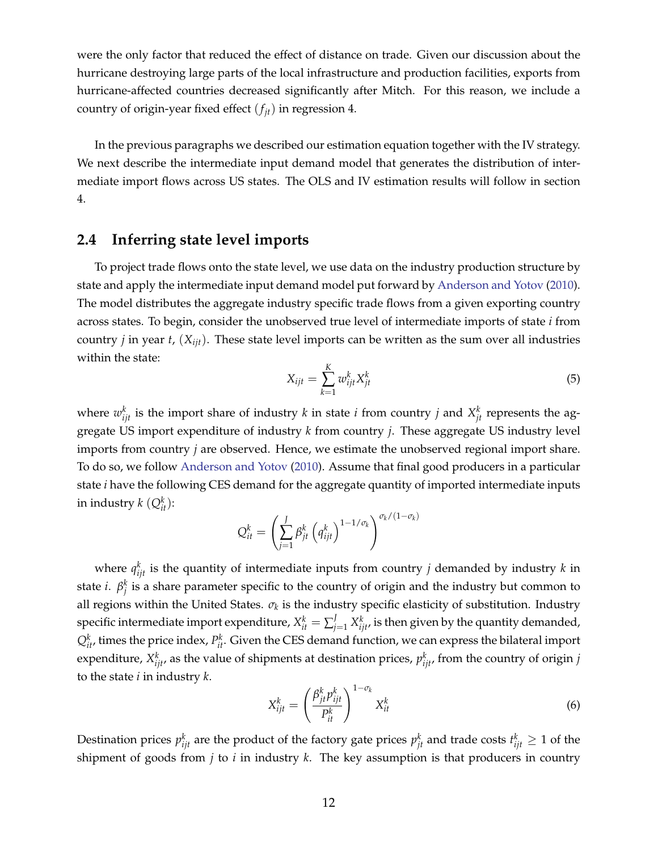were the only factor that reduced the effect of distance on trade. Given our discussion about the hurricane destroying large parts of the local infrastructure and production facilities, exports from hurricane-affected countries decreased significantly after Mitch. For this reason, we include a country of origin-year fixed effect  $(f_{it})$  in regression [4.](#page-12-2)

In the previous paragraphs we described our estimation equation together with the IV strategy. We next describe the intermediate input demand model that generates the distribution of intermediate import flows across US states. The OLS and IV estimation results will follow in section 4.

## **2.4 Inferring state level imports**

To project trade flows onto the state level, we use data on the industry production structure by state and apply the intermediate input demand model put forward by [Anderson and Yotov](#page-25-0) [\(2010\)](#page-25-0). The model distributes the aggregate industry specific trade flows from a given exporting country across states. To begin, consider the unobserved true level of intermediate imports of state *i* from country *j* in year *t*, (*Xijt*). These state level imports can be written as the sum over all industries within the state:

<span id="page-13-0"></span>
$$
X_{ijt} = \sum_{k=1}^{K} w_{ijt}^{k} X_{jt}^{k}
$$
 (5)

where  $w_{ijt}^k$  is the import share of industry *k* in state *i* from country *j* and  $X_{jt}^k$  represents the aggregate US import expenditure of industry *k* from country *j*. These aggregate US industry level imports from country *j* are observed. Hence, we estimate the unobserved regional import share. To do so, we follow [Anderson and Yotov](#page-25-0) [\(2010\)](#page-25-0). Assume that final good producers in a particular state *i* have the following CES demand for the aggregate quantity of imported intermediate inputs in industry  $k$   $(Q_{it}^k)$ :

$$
Q_{it}^k = \left(\sum_{j=1}^J \beta_{jt}^k \left(q_{ijt}^k\right)^{1-1/\sigma_k}\right)^{\sigma_k/(1-\sigma_k)}
$$

where  $q_{ijt}^k$  is the quantity of intermediate inputs from country *j* demanded by industry *k* in state *i*.  $\beta_j^k$  is a share parameter specific to the country of origin and the industry but common to all regions within the United States.  $\sigma_k$  is the industry specific elasticity of substitution. Industry specific intermediate import expenditure,  $X_{it}^k=\sum_{j=1}^J X_{ijt}^k$ , is then given by the quantity demanded,  $Q_{it}^k$ , times the price index,  $P_{it}^k$ . Given the CES demand function, we can express the bilateral import expenditure,  $X_{ijt}^k$ , as the value of shipments at destination prices,  $p_{ijt}^k$ , from the country of origin *j* to the state *i* in industry *k*.

$$
X_{ijt}^k = \left(\frac{\beta_{jt}^k p_{ijt}^k}{P_{it}^k}\right)^{1-\sigma_k} X_{it}^k
$$
\n(6)

Destination prices  $p_{ijt}^k$  are the product of the factory gate prices  $p_{jt}^k$  and trade costs  $t_{ijt}^k \geq 1$  of the shipment of goods from *j* to *i* in industry *k*. The key assumption is that producers in country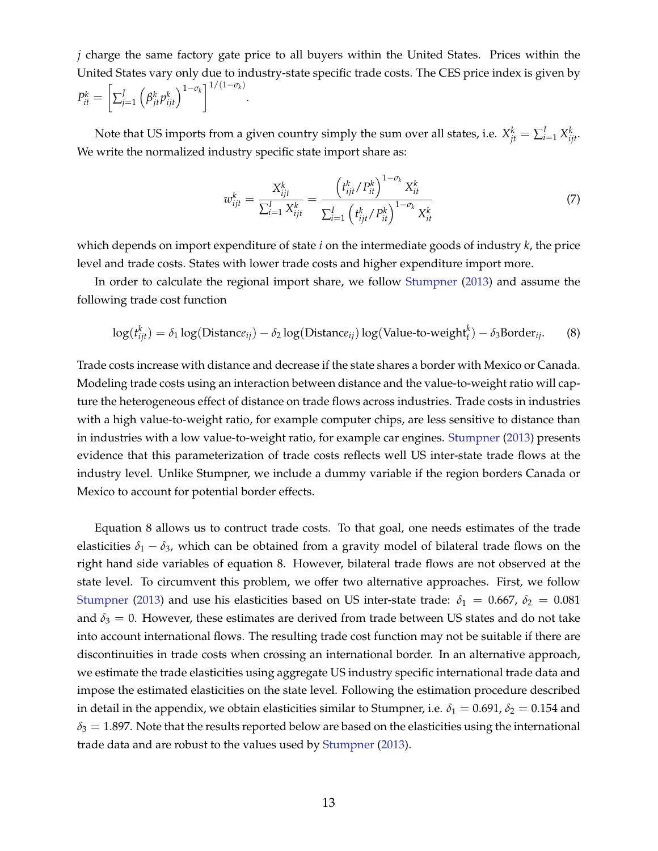*j* charge the same factory gate price to all buyers within the United States. Prices within the United States vary only due to industry-state specific trade costs. The CES price index is given by  $P_{it}^k =$  $\left[ \sum_{j=1}^J$  $\left(\beta_{jt}^k p_{ijt}^k\right)^{1-\sigma_k}$ <sup>1/(1- $\sigma_k$ )</sup> .

Note that US imports from a given country simply the sum over all states, i.e.  $X_{jt}^k = \sum_{i=1}^l X_{ijt}^k$ . We write the normalized industry specific state import share as:

<span id="page-14-1"></span>
$$
w_{ijt}^k = \frac{X_{ijt}^k}{\sum_{i=1}^I X_{ijt}^k} = \frac{\left(t_{ijt}^k / P_{it}^k\right)^{1 - \sigma_k} X_{it}^k}{\sum_{i=1}^I \left(t_{ijt}^k / P_{it}^k\right)^{1 - \sigma_k} X_{it}^k}
$$
(7)

which depends on import expenditure of state *i* on the intermediate goods of industry *k*, the price level and trade costs. States with lower trade costs and higher expenditure import more.

In order to calculate the regional import share, we follow [Stumpner](#page-26-10) [\(2013\)](#page-26-10) and assume the following trade cost function

<span id="page-14-0"></span>
$$
\log(t_{ijt}^k) = \delta_1 \log(\text{Distance}_{ij}) - \delta_2 \log(\text{Distance}_{ij}) \log(\text{Value-to-weight}_t^k) - \delta_3 \text{Border}_{ij}.
$$
 (8)

Trade costs increase with distance and decrease if the state shares a border with Mexico or Canada. Modeling trade costs using an interaction between distance and the value-to-weight ratio will capture the heterogeneous effect of distance on trade flows across industries. Trade costs in industries with a high value-to-weight ratio, for example computer chips, are less sensitive to distance than in industries with a low value-to-weight ratio, for example car engines. [Stumpner](#page-26-10) [\(2013\)](#page-26-10) presents evidence that this parameterization of trade costs reflects well US inter-state trade flows at the industry level. Unlike Stumpner, we include a dummy variable if the region borders Canada or Mexico to account for potential border effects.

Equation [8](#page-14-0) allows us to contruct trade costs. To that goal, one needs estimates of the trade elasticities  $\delta_1 - \delta_3$ , which can be obtained from a gravity model of bilateral trade flows on the right hand side variables of equation [8.](#page-14-0) However, bilateral trade flows are not observed at the state level. To circumvent this problem, we offer two alternative approaches. First, we follow [Stumpner](#page-26-10) [\(2013\)](#page-26-10) and use his elasticities based on US inter-state trade:  $\delta_1 = 0.667$ ,  $\delta_2 = 0.081$ and  $\delta_3 = 0$ . However, these estimates are derived from trade between US states and do not take into account international flows. The resulting trade cost function may not be suitable if there are discontinuities in trade costs when crossing an international border. In an alternative approach, we estimate the trade elasticities using aggregate US industry specific international trade data and impose the estimated elasticities on the state level. Following the estimation procedure described in detail in the appendix, we obtain elasticities similar to Stumpner, i.e.  $\delta_1 = 0.691$ ,  $\delta_2 = 0.154$  and  $\delta_3 = 1.897$ . Note that the results reported below are based on the elasticities using the international trade data and are robust to the values used by [Stumpner](#page-26-10) [\(2013\)](#page-26-10).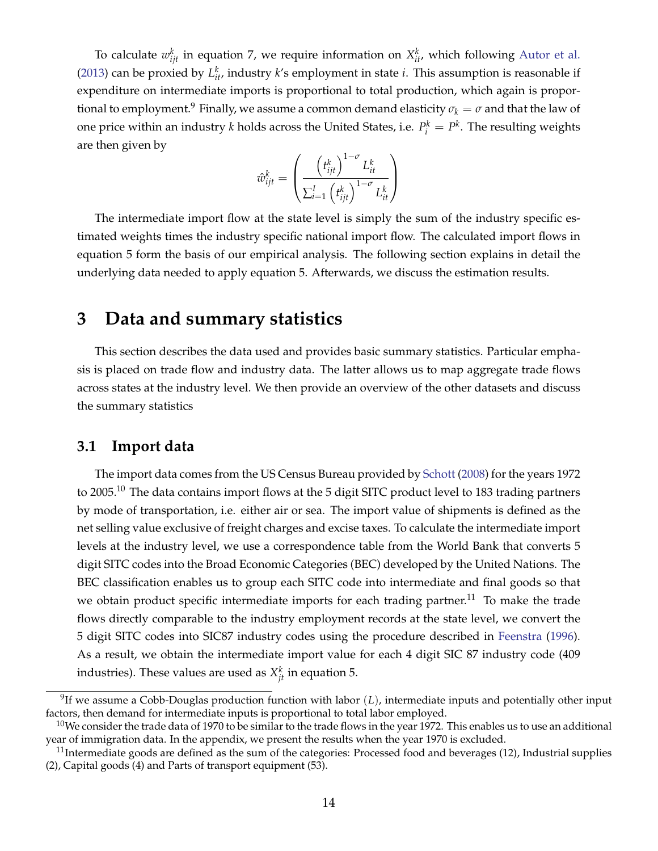To calculate  $w_{ijt}^k$  in equation [7,](#page-14-1) we require information on  $X_{it}^k$ , which following [Autor et al.](#page-25-1) [\(2013\)](#page-25-1) can be proxied by  $L_{it}^k$ , industry  $k$ 's employment in state *i*. This assumption is reasonable if expenditure on intermediate imports is proportional to total production, which again is proportional to employment.<sup>9</sup> Finally, we assume a common demand elasticity  $\sigma_k = \sigma$  and that the law of one price within an industry *k* holds across the United States, i.e.  $P_i^k = P^k$ . The resulting weights are then given by

$$
\hat{w}_{ijt}^k = \left(\frac{\left(t_{ijt}^k\right)^{1-\sigma} L_{it}^k}{\sum_{i=1}^I \left(t_{ijt}^k\right)^{1-\sigma} L_{it}^k}\right)
$$

The intermediate import flow at the state level is simply the sum of the industry specific estimated weights times the industry specific national import flow. The calculated import flows in equation [5](#page-13-0) form the basis of our empirical analysis. The following section explains in detail the underlying data needed to apply equation [5.](#page-13-0) Afterwards, we discuss the estimation results.

# **3 Data and summary statistics**

This section describes the data used and provides basic summary statistics. Particular emphasis is placed on trade flow and industry data. The latter allows us to map aggregate trade flows across states at the industry level. We then provide an overview of the other datasets and discuss the summary statistics

## **3.1 Import data**

The import data comes from the US Census Bureau provided by [Schott](#page-26-11) [\(2008\)](#page-26-11) for the years 1972 to 2005.<sup>10</sup> The data contains import flows at the 5 digit SITC product level to 183 trading partners by mode of transportation, i.e. either air or sea. The import value of shipments is defined as the net selling value exclusive of freight charges and excise taxes. To calculate the intermediate import levels at the industry level, we use a correspondence table from the World Bank that converts 5 digit SITC codes into the Broad Economic Categories (BEC) developed by the United Nations. The BEC classification enables us to group each SITC code into intermediate and final goods so that we obtain product specific intermediate imports for each trading partner.<sup>11</sup> To make the trade flows directly comparable to the industry employment records at the state level, we convert the 5 digit SITC codes into SIC87 industry codes using the procedure described in [Feenstra](#page-25-9) [\(1996\)](#page-25-9). As a result, we obtain the intermediate import value for each 4 digit SIC 87 industry code (409 industries). These values are used as  $X_{jt}^k$  in equation [5.](#page-13-0)

<span id="page-15-0"></span><sup>9</sup>If we assume a Cobb-Douglas production function with labor (*L*), intermediate inputs and potentially other input factors, then demand for intermediate inputs is proportional to total labor employed.

<span id="page-15-1"></span> $10$ We consider the trade data of 1970 to be similar to the trade flows in the year 1972. This enables us to use an additional year of immigration data. In the appendix, we present the results when the year 1970 is excluded.

<span id="page-15-2"></span> $11$ Intermediate goods are defined as the sum of the categories: Processed food and beverages (12), Industrial supplies (2), Capital goods (4) and Parts of transport equipment (53).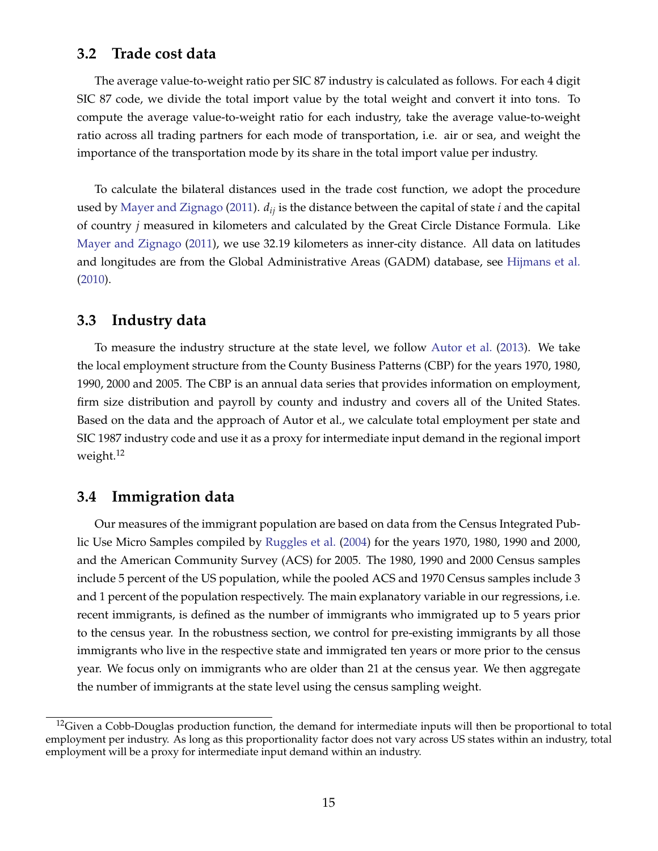### **3.2 Trade cost data**

The average value-to-weight ratio per SIC 87 industry is calculated as follows. For each 4 digit SIC 87 code, we divide the total import value by the total weight and convert it into tons. To compute the average value-to-weight ratio for each industry, take the average value-to-weight ratio across all trading partners for each mode of transportation, i.e. air or sea, and weight the importance of the transportation mode by its share in the total import value per industry.

To calculate the bilateral distances used in the trade cost function, we adopt the procedure used by [Mayer and Zignago](#page-26-12) [\(2011\)](#page-26-12). *dij* is the distance between the capital of state *i* and the capital of country *j* measured in kilometers and calculated by the Great Circle Distance Formula. Like [Mayer and Zignago](#page-26-12) [\(2011\)](#page-26-12), we use 32.19 kilometers as inner-city distance. All data on latitudes and longitudes are from the Global Administrative Areas (GADM) database, see [Hijmans et al.](#page-26-13) [\(2010\)](#page-26-13).

### **3.3 Industry data**

To measure the industry structure at the state level, we follow [Autor et al.](#page-25-1) [\(2013\)](#page-25-1). We take the local employment structure from the County Business Patterns (CBP) for the years 1970, 1980, 1990, 2000 and 2005. The CBP is an annual data series that provides information on employment, firm size distribution and payroll by county and industry and covers all of the United States. Based on the data and the approach of Autor et al., we calculate total employment per state and SIC 1987 industry code and use it as a proxy for intermediate input demand in the regional import weight.<sup>12</sup>

## **3.4 Immigration data**

Our measures of the immigrant population are based on data from the Census Integrated Public Use Micro Samples compiled by [Ruggles et al.](#page-26-14) [\(2004\)](#page-26-14) for the years 1970, 1980, 1990 and 2000, and the American Community Survey (ACS) for 2005. The 1980, 1990 and 2000 Census samples include 5 percent of the US population, while the pooled ACS and 1970 Census samples include 3 and 1 percent of the population respectively. The main explanatory variable in our regressions, i.e. recent immigrants, is defined as the number of immigrants who immigrated up to 5 years prior to the census year. In the robustness section, we control for pre-existing immigrants by all those immigrants who live in the respective state and immigrated ten years or more prior to the census year. We focus only on immigrants who are older than 21 at the census year. We then aggregate the number of immigrants at the state level using the census sampling weight.

<span id="page-16-0"></span> $12$ Given a Cobb-Douglas production function, the demand for intermediate inputs will then be proportional to total employment per industry. As long as this proportionality factor does not vary across US states within an industry, total employment will be a proxy for intermediate input demand within an industry.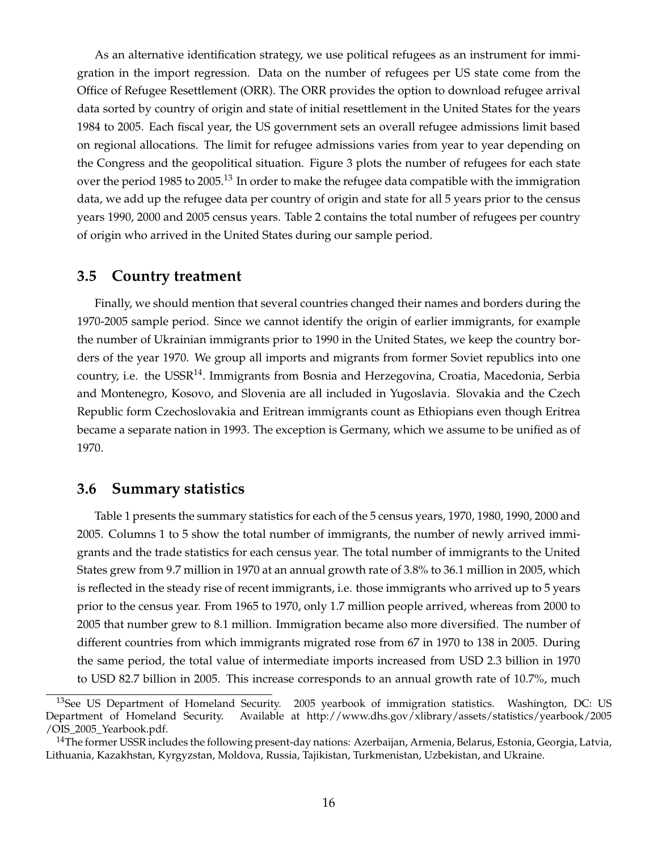As an alternative identification strategy, we use political refugees as an instrument for immigration in the import regression. Data on the number of refugees per US state come from the Office of Refugee Resettlement (ORR). The ORR provides the option to download refugee arrival data sorted by country of origin and state of initial resettlement in the United States for the years 1984 to 2005. Each fiscal year, the US government sets an overall refugee admissions limit based on regional allocations. The limit for refugee admissions varies from year to year depending on the Congress and the geopolitical situation. Figure [3](#page-33-0) plots the number of refugees for each state over the period 1985 to 2005.<sup>13</sup> In order to make the refugee data compatible with the immigration data, we add up the refugee data per country of origin and state for all 5 years prior to the census years 1990, 2000 and 2005 census years. Table [2](#page-35-0) contains the total number of refugees per country of origin who arrived in the United States during our sample period.

#### **3.5 Country treatment**

Finally, we should mention that several countries changed their names and borders during the 1970-2005 sample period. Since we cannot identify the origin of earlier immigrants, for example the number of Ukrainian immigrants prior to 1990 in the United States, we keep the country borders of the year 1970. We group all imports and migrants from former Soviet republics into one country, i.e. the USSR<sup>14</sup>. Immigrants from Bosnia and Herzegovina, Croatia, Macedonia, Serbia and Montenegro, Kosovo, and Slovenia are all included in Yugoslavia. Slovakia and the Czech Republic form Czechoslovakia and Eritrean immigrants count as Ethiopians even though Eritrea became a separate nation in 1993. The exception is Germany, which we assume to be unified as of 1970.

## **3.6 Summary statistics**

Table [1](#page-34-0) presents the summary statistics for each of the 5 census years, 1970, 1980, 1990, 2000 and 2005. Columns 1 to 5 show the total number of immigrants, the number of newly arrived immigrants and the trade statistics for each census year. The total number of immigrants to the United States grew from 9.7 million in 1970 at an annual growth rate of 3.8% to 36.1 million in 2005, which is reflected in the steady rise of recent immigrants, i.e. those immigrants who arrived up to 5 years prior to the census year. From 1965 to 1970, only 1.7 million people arrived, whereas from 2000 to 2005 that number grew to 8.1 million. Immigration became also more diversified. The number of different countries from which immigrants migrated rose from 67 in 1970 to 138 in 2005. During the same period, the total value of intermediate imports increased from USD 2.3 billion in 1970 to USD 82.7 billion in 2005. This increase corresponds to an annual growth rate of 10.7%, much

<span id="page-17-0"></span><sup>&</sup>lt;sup>13</sup>See US Department of Homeland Security. 2005 yearbook of immigration statistics. Washington, DC: US Department of Homeland Security. Available at http://www.dhs.gov/xlibrary/assets/statistics/yearbook/2005 /OIS\_2005\_Yearbook.pdf.

<span id="page-17-1"></span><sup>&</sup>lt;sup>14</sup>The former USSR includes the following present-day nations: Azerbaijan, Armenia, Belarus, Estonia, Georgia, Latvia, Lithuania, Kazakhstan, Kyrgyzstan, Moldova, Russia, Tajikistan, Turkmenistan, Uzbekistan, and Ukraine.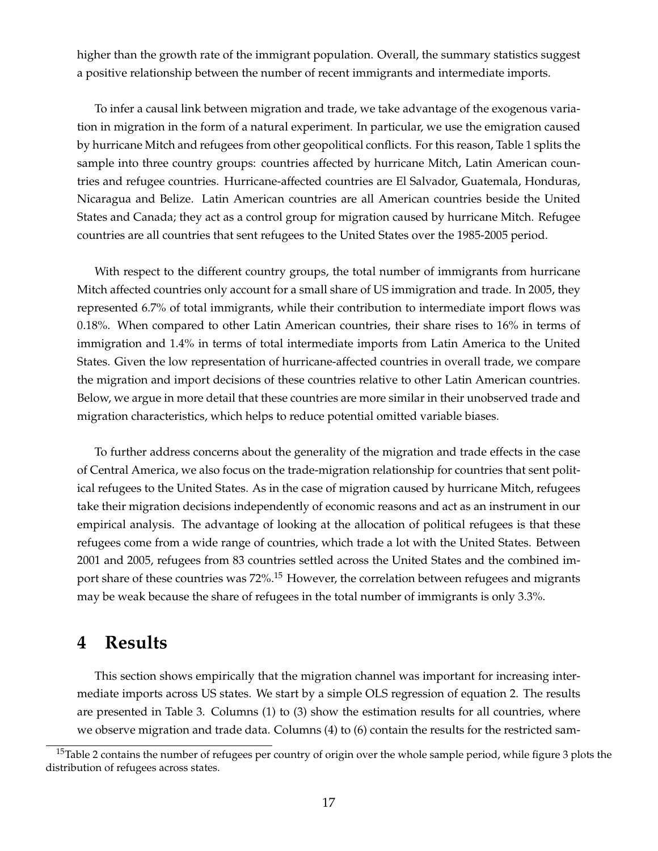higher than the growth rate of the immigrant population. Overall, the summary statistics suggest a positive relationship between the number of recent immigrants and intermediate imports.

To infer a causal link between migration and trade, we take advantage of the exogenous variation in migration in the form of a natural experiment. In particular, we use the emigration caused by hurricane Mitch and refugees from other geopolitical conflicts. For this reason, Table [1](#page-34-0) splits the sample into three country groups: countries affected by hurricane Mitch, Latin American countries and refugee countries. Hurricane-affected countries are El Salvador, Guatemala, Honduras, Nicaragua and Belize. Latin American countries are all American countries beside the United States and Canada; they act as a control group for migration caused by hurricane Mitch. Refugee countries are all countries that sent refugees to the United States over the 1985-2005 period.

With respect to the different country groups, the total number of immigrants from hurricane Mitch affected countries only account for a small share of US immigration and trade. In 2005, they represented 6.7% of total immigrants, while their contribution to intermediate import flows was 0.18%. When compared to other Latin American countries, their share rises to 16% in terms of immigration and 1.4% in terms of total intermediate imports from Latin America to the United States. Given the low representation of hurricane-affected countries in overall trade, we compare the migration and import decisions of these countries relative to other Latin American countries. Below, we argue in more detail that these countries are more similar in their unobserved trade and migration characteristics, which helps to reduce potential omitted variable biases.

To further address concerns about the generality of the migration and trade effects in the case of Central America, we also focus on the trade-migration relationship for countries that sent political refugees to the United States. As in the case of migration caused by hurricane Mitch, refugees take their migration decisions independently of economic reasons and act as an instrument in our empirical analysis. The advantage of looking at the allocation of political refugees is that these refugees come from a wide range of countries, which trade a lot with the United States. Between 2001 and 2005, refugees from 83 countries settled across the United States and the combined import share of these countries was 72%.<sup>15</sup> However, the correlation between refugees and migrants may be weak because the share of refugees in the total number of immigrants is only 3.3%.

# **4 Results**

This section shows empirically that the migration channel was important for increasing intermediate imports across US states. We start by a simple OLS regression of equation [2.](#page-6-2) The results are presented in Table [3.](#page-36-0) Columns (1) to (3) show the estimation results for all countries, where we observe migration and trade data. Columns (4) to (6) contain the results for the restricted sam-

<span id="page-18-0"></span> $15$ Table [2](#page-35-0) contains the number of refugees per country of origin over the whole sample period, while figure [3](#page-33-0) plots the distribution of refugees across states.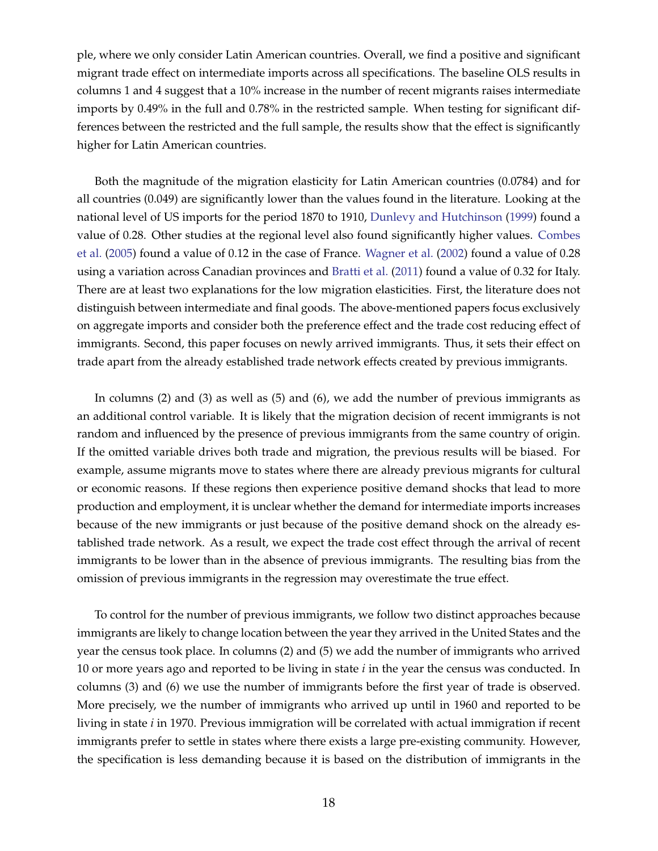ple, where we only consider Latin American countries. Overall, we find a positive and significant migrant trade effect on intermediate imports across all specifications. The baseline OLS results in columns 1 and 4 suggest that a 10% increase in the number of recent migrants raises intermediate imports by 0.49% in the full and 0.78% in the restricted sample. When testing for significant differences between the restricted and the full sample, the results show that the effect is significantly higher for Latin American countries.

Both the magnitude of the migration elasticity for Latin American countries (0.0784) and for all countries (0.049) are significantly lower than the values found in the literature. Looking at the national level of US imports for the period 1870 to 1910, [Dunlevy and Hutchinson](#page-25-10) [\(1999\)](#page-25-10) found a value of 0.28. Other studies at the regional level also found significantly higher values. [Combes](#page-25-11) [et al.](#page-25-11) [\(2005\)](#page-25-11) found a value of 0.12 in the case of France. [Wagner et al.](#page-27-2) [\(2002\)](#page-27-2) found a value of 0.28 using a variation across Canadian provinces and [Bratti et al.](#page-25-12) [\(2011\)](#page-25-12) found a value of 0.32 for Italy. There are at least two explanations for the low migration elasticities. First, the literature does not distinguish between intermediate and final goods. The above-mentioned papers focus exclusively on aggregate imports and consider both the preference effect and the trade cost reducing effect of immigrants. Second, this paper focuses on newly arrived immigrants. Thus, it sets their effect on trade apart from the already established trade network effects created by previous immigrants.

In columns (2) and (3) as well as (5) and (6), we add the number of previous immigrants as an additional control variable. It is likely that the migration decision of recent immigrants is not random and influenced by the presence of previous immigrants from the same country of origin. If the omitted variable drives both trade and migration, the previous results will be biased. For example, assume migrants move to states where there are already previous migrants for cultural or economic reasons. If these regions then experience positive demand shocks that lead to more production and employment, it is unclear whether the demand for intermediate imports increases because of the new immigrants or just because of the positive demand shock on the already established trade network. As a result, we expect the trade cost effect through the arrival of recent immigrants to be lower than in the absence of previous immigrants. The resulting bias from the omission of previous immigrants in the regression may overestimate the true effect.

To control for the number of previous immigrants, we follow two distinct approaches because immigrants are likely to change location between the year they arrived in the United States and the year the census took place. In columns (2) and (5) we add the number of immigrants who arrived 10 or more years ago and reported to be living in state *i* in the year the census was conducted. In columns (3) and (6) we use the number of immigrants before the first year of trade is observed. More precisely, we the number of immigrants who arrived up until in 1960 and reported to be living in state *i* in 1970. Previous immigration will be correlated with actual immigration if recent immigrants prefer to settle in states where there exists a large pre-existing community. However, the specification is less demanding because it is based on the distribution of immigrants in the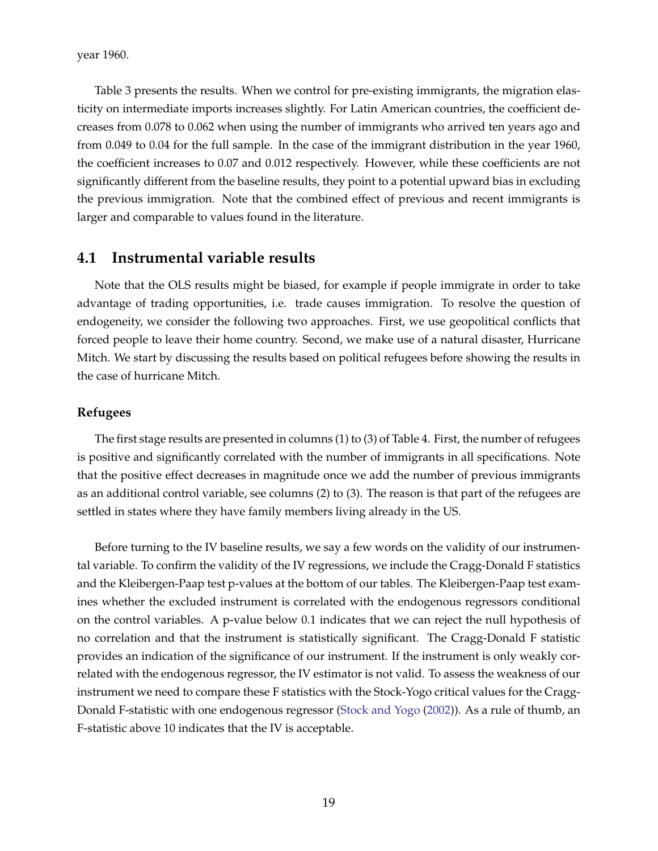year 1960.

Table [3](#page-36-0) presents the results. When we control for pre-existing immigrants, the migration elasticity on intermediate imports increases slightly. For Latin American countries, the coefficient decreases from 0.078 to 0.062 when using the number of immigrants who arrived ten years ago and from 0.049 to 0.04 for the full sample. In the case of the immigrant distribution in the year 1960, the coefficient increases to 0.07 and 0.012 respectively. However, while these coefficients are not significantly different from the baseline results, they point to a potential upward bias in excluding the previous immigration. Note that the combined effect of previous and recent immigrants is larger and comparable to values found in the literature.

#### **4.1 Instrumental variable results**

Note that the OLS results might be biased, for example if people immigrate in order to take advantage of trading opportunities, i.e. trade causes immigration. To resolve the question of endogeneity, we consider the following two approaches. First, we use geopolitical conflicts that forced people to leave their home country. Second, we make use of a natural disaster, Hurricane Mitch. We start by discussing the results based on political refugees before showing the results in the case of hurricane Mitch.

#### **Refugees**

The first stage results are presented in columns (1) to (3) of Table [4.](#page-37-0) First, the number of refugees is positive and significantly correlated with the number of immigrants in all specifications. Note that the positive effect decreases in magnitude once we add the number of previous immigrants as an additional control variable, see columns (2) to (3). The reason is that part of the refugees are settled in states where they have family members living already in the US.

Before turning to the IV baseline results, we say a few words on the validity of our instrumental variable. To confirm the validity of the IV regressions, we include the Cragg-Donald F statistics and the Kleibergen-Paap test p-values at the bottom of our tables. The Kleibergen-Paap test examines whether the excluded instrument is correlated with the endogenous regressors conditional on the control variables. A p-value below 0.1 indicates that we can reject the null hypothesis of no correlation and that the instrument is statistically significant. The Cragg-Donald F statistic provides an indication of the significance of our instrument. If the instrument is only weakly correlated with the endogenous regressor, the IV estimator is not valid. To assess the weakness of our instrument we need to compare these F statistics with the Stock-Yogo critical values for the Cragg-Donald F-statistic with one endogenous regressor [\(Stock and Yogo](#page-26-15) [\(2002\)](#page-26-15)). As a rule of thumb, an F-statistic above 10 indicates that the IV is acceptable.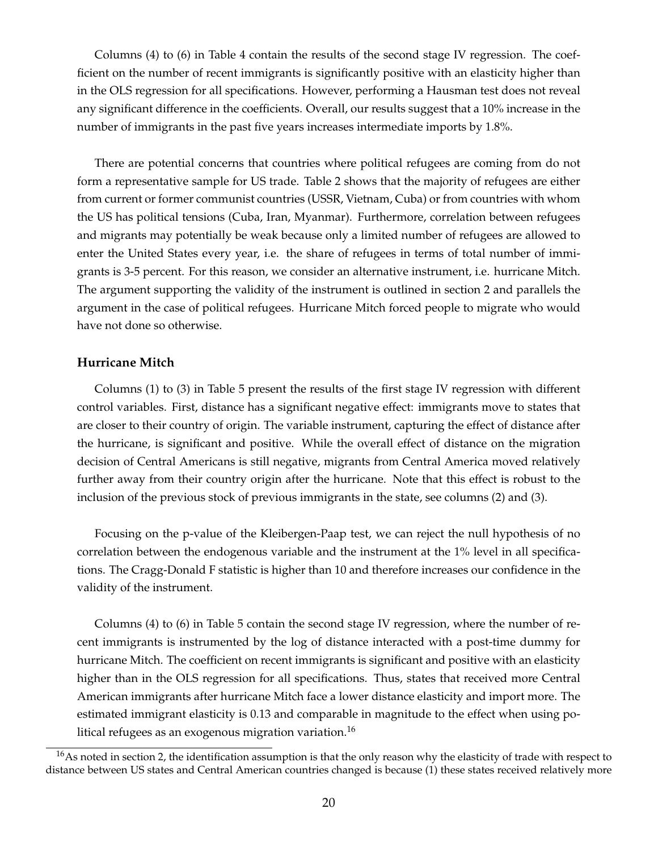Columns (4) to (6) in Table [4](#page-37-0) contain the results of the second stage IV regression. The coefficient on the number of recent immigrants is significantly positive with an elasticity higher than in the OLS regression for all specifications. However, performing a Hausman test does not reveal any significant difference in the coefficients. Overall, our results suggest that a 10% increase in the number of immigrants in the past five years increases intermediate imports by 1.8%.

There are potential concerns that countries where political refugees are coming from do not form a representative sample for US trade. Table [2](#page-35-0) shows that the majority of refugees are either from current or former communist countries (USSR, Vietnam, Cuba) or from countries with whom the US has political tensions (Cuba, Iran, Myanmar). Furthermore, correlation between refugees and migrants may potentially be weak because only a limited number of refugees are allowed to enter the United States every year, i.e. the share of refugees in terms of total number of immigrants is 3-5 percent. For this reason, we consider an alternative instrument, i.e. hurricane Mitch. The argument supporting the validity of the instrument is outlined in section 2 and parallels the argument in the case of political refugees. Hurricane Mitch forced people to migrate who would have not done so otherwise.

#### **Hurricane Mitch**

Columns (1) to (3) in Table [5](#page-38-0) present the results of the first stage IV regression with different control variables. First, distance has a significant negative effect: immigrants move to states that are closer to their country of origin. The variable instrument, capturing the effect of distance after the hurricane, is significant and positive. While the overall effect of distance on the migration decision of Central Americans is still negative, migrants from Central America moved relatively further away from their country origin after the hurricane. Note that this effect is robust to the inclusion of the previous stock of previous immigrants in the state, see columns (2) and (3).

Focusing on the p-value of the Kleibergen-Paap test, we can reject the null hypothesis of no correlation between the endogenous variable and the instrument at the 1% level in all specifications. The Cragg-Donald F statistic is higher than 10 and therefore increases our confidence in the validity of the instrument.

Columns (4) to (6) in Table [5](#page-38-0) contain the second stage IV regression, where the number of recent immigrants is instrumented by the log of distance interacted with a post-time dummy for hurricane Mitch. The coefficient on recent immigrants is significant and positive with an elasticity higher than in the OLS regression for all specifications. Thus, states that received more Central American immigrants after hurricane Mitch face a lower distance elasticity and import more. The estimated immigrant elasticity is 0.13 and comparable in magnitude to the effect when using political refugees as an exogenous migration variation.<sup>16</sup>

<span id="page-21-0"></span> $16$ As noted in section 2, the identification assumption is that the only reason why the elasticity of trade with respect to distance between US states and Central American countries changed is because (1) these states received relatively more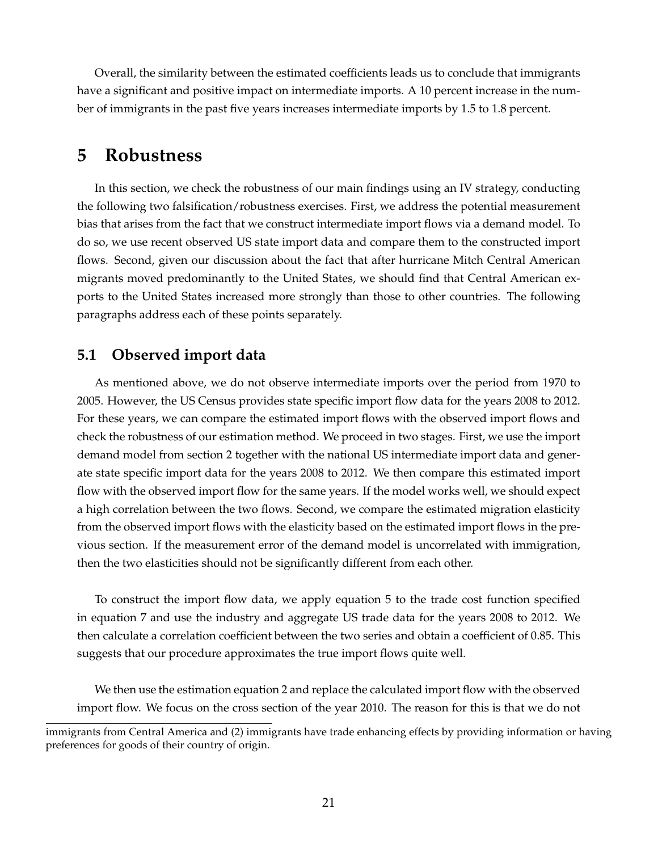Overall, the similarity between the estimated coefficients leads us to conclude that immigrants have a significant and positive impact on intermediate imports. A 10 percent increase in the number of immigrants in the past five years increases intermediate imports by 1.5 to 1.8 percent.

# **5 Robustness**

In this section, we check the robustness of our main findings using an IV strategy, conducting the following two falsification/robustness exercises. First, we address the potential measurement bias that arises from the fact that we construct intermediate import flows via a demand model. To do so, we use recent observed US state import data and compare them to the constructed import flows. Second, given our discussion about the fact that after hurricane Mitch Central American migrants moved predominantly to the United States, we should find that Central American exports to the United States increased more strongly than those to other countries. The following paragraphs address each of these points separately.

# **5.1 Observed import data**

As mentioned above, we do not observe intermediate imports over the period from 1970 to 2005. However, the US Census provides state specific import flow data for the years 2008 to 2012. For these years, we can compare the estimated import flows with the observed import flows and check the robustness of our estimation method. We proceed in two stages. First, we use the import demand model from section 2 together with the national US intermediate import data and generate state specific import data for the years 2008 to 2012. We then compare this estimated import flow with the observed import flow for the same years. If the model works well, we should expect a high correlation between the two flows. Second, we compare the estimated migration elasticity from the observed import flows with the elasticity based on the estimated import flows in the previous section. If the measurement error of the demand model is uncorrelated with immigration, then the two elasticities should not be significantly different from each other.

To construct the import flow data, we apply equation [5](#page-13-0) to the trade cost function specified in equation [7](#page-14-1) and use the industry and aggregate US trade data for the years 2008 to 2012. We then calculate a correlation coefficient between the two series and obtain a coefficient of 0.85. This suggests that our procedure approximates the true import flows quite well.

We then use the estimation equation 2 and replace the calculated import flow with the observed import flow. We focus on the cross section of the year 2010. The reason for this is that we do not

immigrants from Central America and (2) immigrants have trade enhancing effects by providing information or having preferences for goods of their country of origin.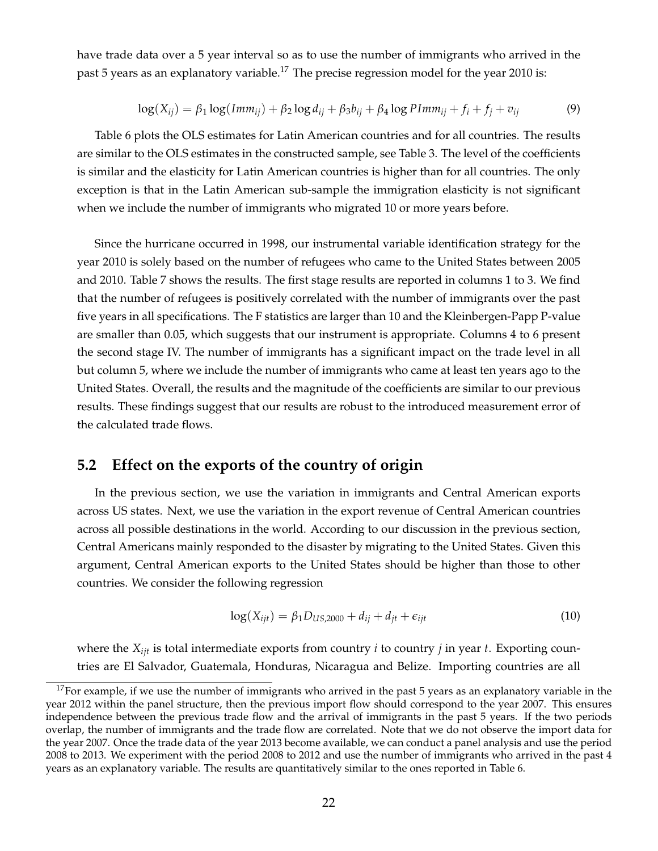have trade data over a 5 year interval so as to use the number of immigrants who arrived in the past 5 years as an explanatory variable.<sup>17</sup> The precise regression model for the year 2010 is:

$$
\log(X_{ij}) = \beta_1 \log(Imm_{ij}) + \beta_2 \log d_{ij} + \beta_3 b_{ij} + \beta_4 \log PImm_{ij} + f_i + f_j + v_{ij}
$$
(9)

Table [6](#page-39-0) plots the OLS estimates for Latin American countries and for all countries. The results are similar to the OLS estimates in the constructed sample, see Table [3.](#page-36-0) The level of the coefficients is similar and the elasticity for Latin American countries is higher than for all countries. The only exception is that in the Latin American sub-sample the immigration elasticity is not significant when we include the number of immigrants who migrated 10 or more years before.

Since the hurricane occurred in 1998, our instrumental variable identification strategy for the year 2010 is solely based on the number of refugees who came to the United States between 2005 and 2010. Table [7](#page-40-0) shows the results. The first stage results are reported in columns 1 to 3. We find that the number of refugees is positively correlated with the number of immigrants over the past five years in all specifications. The F statistics are larger than 10 and the Kleinbergen-Papp P-value are smaller than 0.05, which suggests that our instrument is appropriate. Columns 4 to 6 present the second stage IV. The number of immigrants has a significant impact on the trade level in all but column 5, where we include the number of immigrants who came at least ten years ago to the United States. Overall, the results and the magnitude of the coefficients are similar to our previous results. These findings suggest that our results are robust to the introduced measurement error of the calculated trade flows.

### **5.2 Effect on the exports of the country of origin**

In the previous section, we use the variation in immigrants and Central American exports across US states. Next, we use the variation in the export revenue of Central American countries across all possible destinations in the world. According to our discussion in the previous section, Central Americans mainly responded to the disaster by migrating to the United States. Given this argument, Central American exports to the United States should be higher than those to other countries. We consider the following regression

$$
\log(X_{ijt}) = \beta_1 D_{US,2000} + d_{ij} + d_{jt} + \epsilon_{ijt}
$$
\n
$$
(10)
$$

where the *Xijt* is total intermediate exports from country *i* to country *j* in year *t*. Exporting countries are El Salvador, Guatemala, Honduras, Nicaragua and Belize. Importing countries are all

<span id="page-23-0"></span> $17$  For example, if we use the number of immigrants who arrived in the past 5 years as an explanatory variable in the year 2012 within the panel structure, then the previous import flow should correspond to the year 2007. This ensures independence between the previous trade flow and the arrival of immigrants in the past 5 years. If the two periods overlap, the number of immigrants and the trade flow are correlated. Note that we do not observe the import data for the year 2007. Once the trade data of the year 2013 become available, we can conduct a panel analysis and use the period 2008 to 2013. We experiment with the period 2008 to 2012 and use the number of immigrants who arrived in the past 4 years as an explanatory variable. The results are quantitatively similar to the ones reported in Table [6.](#page-39-0)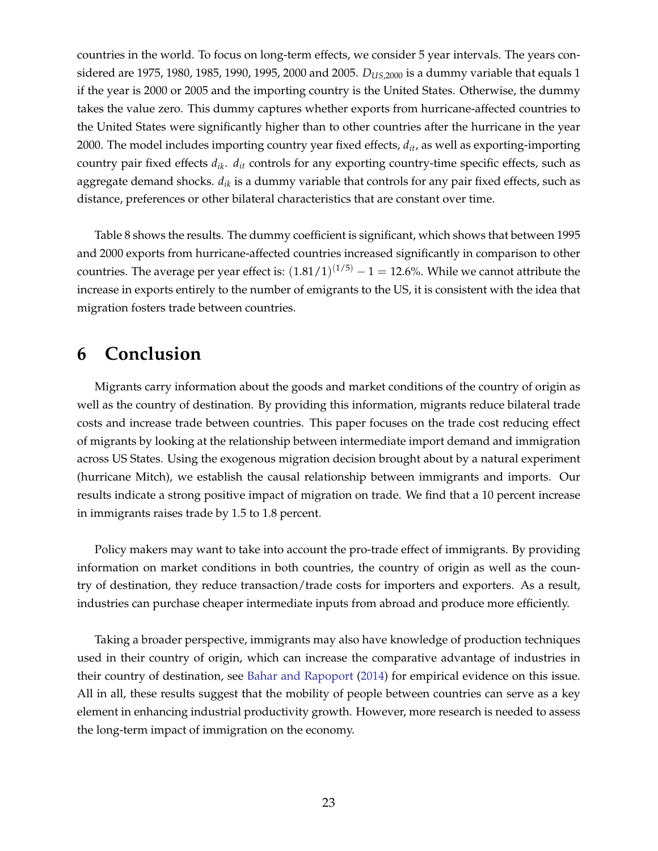countries in the world. To focus on long-term effects, we consider 5 year intervals. The years considered are 1975, 1980, 1985, 1990, 1995, 2000 and 2005. *DUS*,2000 is a dummy variable that equals 1 if the year is 2000 or 2005 and the importing country is the United States. Otherwise, the dummy takes the value zero. This dummy captures whether exports from hurricane-affected countries to the United States were significantly higher than to other countries after the hurricane in the year 2000. The model includes importing country year fixed effects, *dit*, as well as exporting-importing country pair fixed effects *dik*. *dit* controls for any exporting country-time specific effects, such as aggregate demand shocks. *dik* is a dummy variable that controls for any pair fixed effects, such as distance, preferences or other bilateral characteristics that are constant over time.

Table [8](#page-41-0) shows the results. The dummy coefficient is significant, which shows that between 1995 and 2000 exports from hurricane-affected countries increased significantly in comparison to other countries. The average per year effect is:  $(1.81/1)^{(1/5)} - 1 = 12.6\%$ . While we cannot attribute the increase in exports entirely to the number of emigrants to the US, it is consistent with the idea that migration fosters trade between countries.

# **6 Conclusion**

Migrants carry information about the goods and market conditions of the country of origin as well as the country of destination. By providing this information, migrants reduce bilateral trade costs and increase trade between countries. This paper focuses on the trade cost reducing effect of migrants by looking at the relationship between intermediate import demand and immigration across US States. Using the exogenous migration decision brought about by a natural experiment (hurricane Mitch), we establish the causal relationship between immigrants and imports. Our results indicate a strong positive impact of migration on trade. We find that a 10 percent increase in immigrants raises trade by 1.5 to 1.8 percent.

Policy makers may want to take into account the pro-trade effect of immigrants. By providing information on market conditions in both countries, the country of origin as well as the country of destination, they reduce transaction/trade costs for importers and exporters. As a result, industries can purchase cheaper intermediate inputs from abroad and produce more efficiently.

Taking a broader perspective, immigrants may also have knowledge of production techniques used in their country of origin, which can increase the comparative advantage of industries in their country of destination, see [Bahar and Rapoport](#page-25-13) [\(2014\)](#page-25-13) for empirical evidence on this issue. All in all, these results suggest that the mobility of people between countries can serve as a key element in enhancing industrial productivity growth. However, more research is needed to assess the long-term impact of immigration on the economy.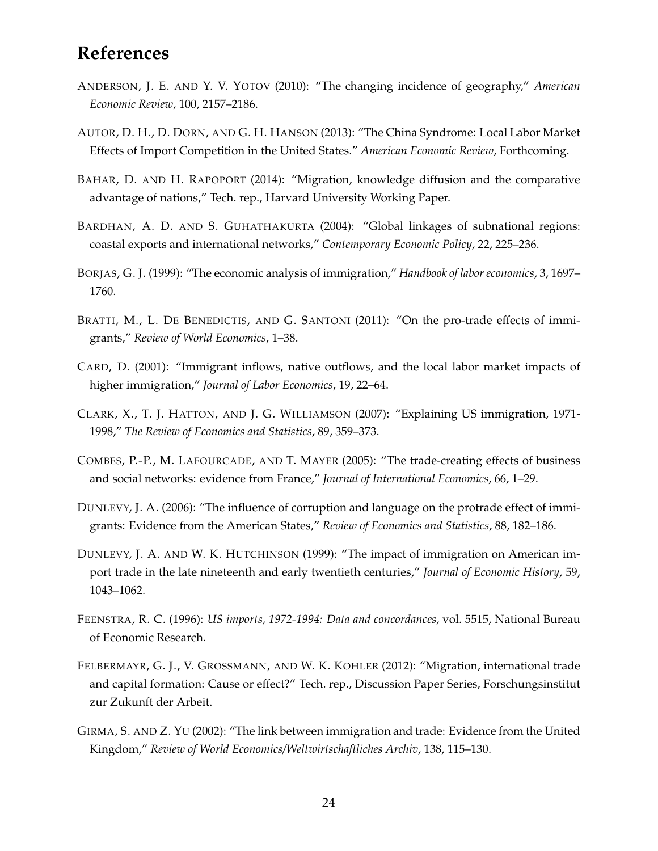# **References**

- <span id="page-25-0"></span>ANDERSON, J. E. AND Y. V. YOTOV (2010): "The changing incidence of geography," *American Economic Review*, 100, 2157–2186.
- <span id="page-25-1"></span>AUTOR, D. H., D. DORN, AND G. H. HANSON (2013): "The China Syndrome: Local Labor Market Effects of Import Competition in the United States." *American Economic Review*, Forthcoming.
- <span id="page-25-13"></span>BAHAR, D. AND H. RAPOPORT (2014): "Migration, knowledge diffusion and the comparative advantage of nations," Tech. rep., Harvard University Working Paper.
- <span id="page-25-5"></span>BARDHAN, A. D. AND S. GUHATHAKURTA (2004): "Global linkages of subnational regions: coastal exports and international networks," *Contemporary Economic Policy*, 22, 225–236.
- <span id="page-25-2"></span>BORJAS, G. J. (1999): "The economic analysis of immigration," *Handbook of labor economics*, 3, 1697– 1760.
- <span id="page-25-12"></span>BRATTI, M., L. DE BENEDICTIS, AND G. SANTONI (2011): "On the pro-trade effects of immigrants," *Review of World Economics*, 1–38.
- <span id="page-25-8"></span>CARD, D. (2001): "Immigrant inflows, native outflows, and the local labor market impacts of higher immigration," *Journal of Labor Economics*, 19, 22–64.
- <span id="page-25-3"></span>CLARK, X., T. J. HATTON, AND J. G. WILLIAMSON (2007): "Explaining US immigration, 1971- 1998," *The Review of Economics and Statistics*, 89, 359–373.
- <span id="page-25-11"></span>COMBES, P.-P., M. LAFOURCADE, AND T. MAYER (2005): "The trade-creating effects of business and social networks: evidence from France," *Journal of International Economics*, 66, 1–29.
- <span id="page-25-6"></span>DUNLEVY, J. A. (2006): "The influence of corruption and language on the protrade effect of immigrants: Evidence from the American States," *Review of Economics and Statistics*, 88, 182–186.
- <span id="page-25-10"></span>DUNLEVY, J. A. AND W. K. HUTCHINSON (1999): "The impact of immigration on American import trade in the late nineteenth and early twentieth centuries," *Journal of Economic History*, 59, 1043–1062.
- <span id="page-25-9"></span>FEENSTRA, R. C. (1996): *US imports, 1972-1994: Data and concordances*, vol. 5515, National Bureau of Economic Research.
- <span id="page-25-7"></span>FELBERMAYR, G. J., V. GROSSMANN, AND W. K. KOHLER (2012): "Migration, international trade and capital formation: Cause or effect?" Tech. rep., Discussion Paper Series, Forschungsinstitut zur Zukunft der Arbeit.
- <span id="page-25-4"></span>GIRMA, S. AND Z. YU (2002): "The link between immigration and trade: Evidence from the United Kingdom," *Review of World Economics/Weltwirtschaftliches Archiv*, 138, 115–130.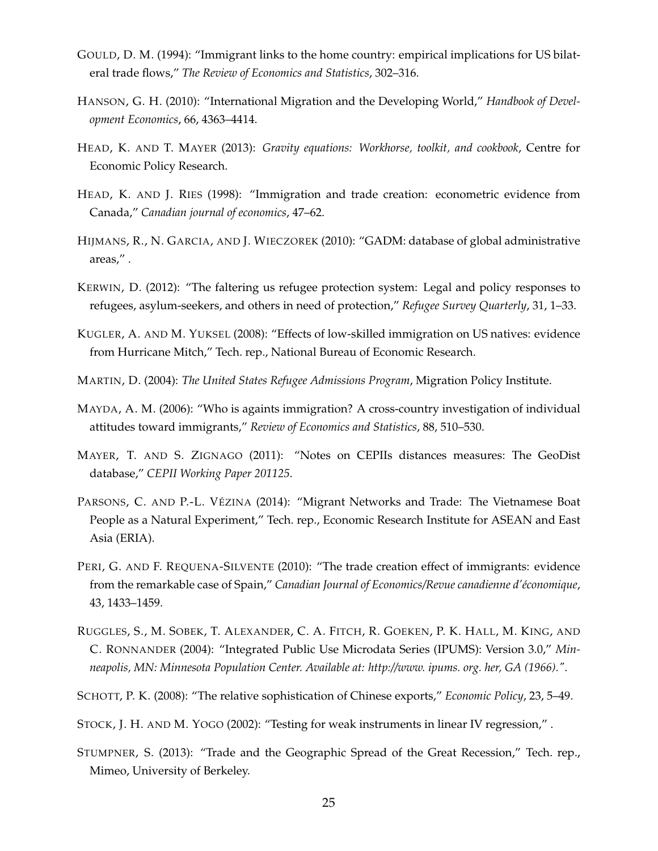- <span id="page-26-1"></span>GOULD, D. M. (1994): "Immigrant links to the home country: empirical implications for US bilateral trade flows," *The Review of Economics and Statistics*, 302–316.
- <span id="page-26-6"></span>HANSON, G. H. (2010): "International Migration and the Developing World," *Handbook of Development Economics*, 66, 4363–4414.
- <span id="page-26-5"></span>HEAD, K. AND T. MAYER (2013): *Gravity equations: Workhorse, toolkit, and cookbook*, Centre for Economic Policy Research.
- <span id="page-26-2"></span>HEAD, K. AND J. RIES (1998): "Immigration and trade creation: econometric evidence from Canada," *Canadian journal of economics*, 47–62.
- <span id="page-26-13"></span>HIJMANS, R., N. GARCIA, AND J. WIECZOREK (2010): "GADM: database of global administrative areas," .
- <span id="page-26-7"></span>KERWIN, D. (2012): "The faltering us refugee protection system: Legal and policy responses to refugees, asylum-seekers, and others in need of protection," *Refugee Survey Quarterly*, 31, 1–33.
- <span id="page-26-9"></span>KUGLER, A. AND M. YUKSEL (2008): "Effects of low-skilled immigration on US natives: evidence from Hurricane Mitch," Tech. rep., National Bureau of Economic Research.
- <span id="page-26-8"></span>MARTIN, D. (2004): *The United States Refugee Admissions Program*, Migration Policy Institute.
- <span id="page-26-0"></span>MAYDA, A. M. (2006): "Who is againts immigration? A cross-country investigation of individual attitudes toward immigrants," *Review of Economics and Statistics*, 88, 510–530.
- <span id="page-26-12"></span>MAYER, T. AND S. ZIGNAGO (2011): "Notes on CEPIIs distances measures: The GeoDist database," *CEPII Working Paper 201125*.
- <span id="page-26-3"></span>PARSONS, C. AND P.-L. VÉZINA (2014): "Migrant Networks and Trade: The Vietnamese Boat People as a Natural Experiment," Tech. rep., Economic Research Institute for ASEAN and East Asia (ERIA).
- <span id="page-26-4"></span>PERI, G. AND F. REQUENA-SILVENTE (2010): "The trade creation effect of immigrants: evidence from the remarkable case of Spain," *Canadian Journal of Economics/Revue canadienne d'économique*, 43, 1433–1459.
- <span id="page-26-14"></span>RUGGLES, S., M. SOBEK, T. ALEXANDER, C. A. FITCH, R. GOEKEN, P. K. HALL, M. KING, AND C. RONNANDER (2004): "Integrated Public Use Microdata Series (IPUMS): Version 3.0," *Minneapolis, MN: Minnesota Population Center. Available at: http://www. ipums. org. her, GA (1966)."*.
- <span id="page-26-11"></span>SCHOTT, P. K. (2008): "The relative sophistication of Chinese exports," *Economic Policy*, 23, 5–49.
- <span id="page-26-15"></span>STOCK, J. H. AND M. YOGO (2002): "Testing for weak instruments in linear IV regression," .
- <span id="page-26-10"></span>STUMPNER, S. (2013): "Trade and the Geographic Spread of the Great Recession," Tech. rep., Mimeo, University of Berkeley.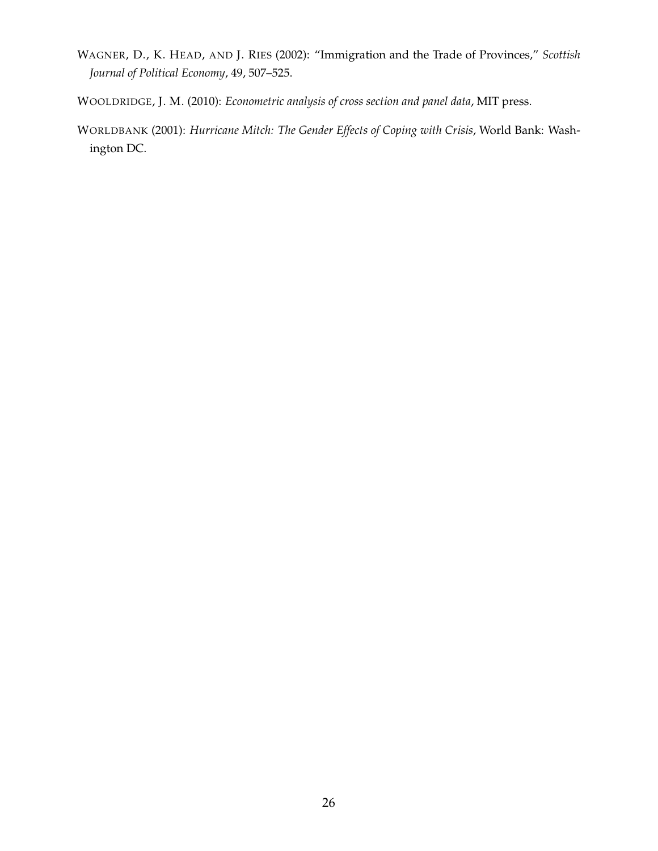- <span id="page-27-2"></span>WAGNER, D., K. HEAD, AND J. RIES (2002): "Immigration and the Trade of Provinces," *Scottish Journal of Political Economy*, 49, 507–525.
- <span id="page-27-0"></span>WOOLDRIDGE, J. M. (2010): *Econometric analysis of cross section and panel data*, MIT press.
- <span id="page-27-1"></span>WORLDBANK (2001): *Hurricane Mitch: The Gender Effects of Coping with Crisis*, World Bank: Washington DC.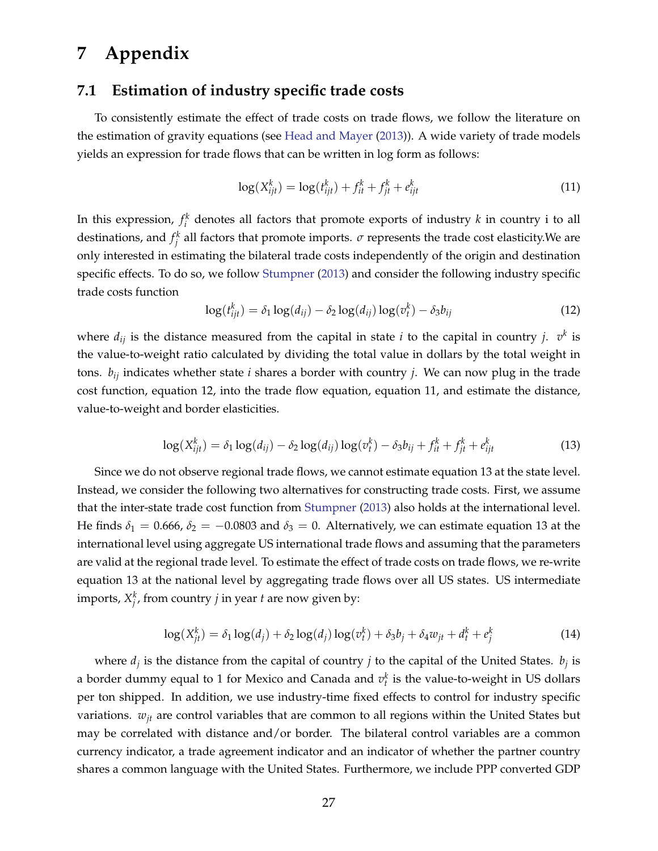# **7 Appendix**

### **7.1 Estimation of industry specific trade costs**

To consistently estimate the effect of trade costs on trade flows, we follow the literature on the estimation of gravity equations (see [Head and Mayer](#page-26-5) [\(2013\)](#page-26-5)). A wide variety of trade models yields an expression for trade flows that can be written in log form as follows:

<span id="page-28-1"></span>
$$
\log(X_{ijt}^k) = \log(t_{ijt}^k) + f_{it}^k + f_{jt}^k + e_{ijt}^k
$$
\n(11)

In this expression,  $f_i^k$  denotes all factors that promote exports of industry  $k$  in country i to all destinations, and  $f_i^k$  all factors that promote imports.  $\sigma$  represents the trade cost elasticity.We are only interested in estimating the bilateral trade costs independently of the origin and destination specific effects. To do so, we follow [Stumpner](#page-26-10) [\(2013\)](#page-26-10) and consider the following industry specific trade costs function

<span id="page-28-0"></span>
$$
\log(t_{ijt}^k) = \delta_1 \log(d_{ij}) - \delta_2 \log(d_{ij}) \log(v_t^k) - \delta_3 b_{ij}
$$
\n(12)

where  $d_{ij}$  is the distance measured from the capital in state *i* to the capital in country *j*.  $v^k$  is the value-to-weight ratio calculated by dividing the total value in dollars by the total weight in tons. *bij* indicates whether state *i* shares a border with country *j*. We can now plug in the trade cost function, equation [12,](#page-28-0) into the trade flow equation, equation [11,](#page-28-1) and estimate the distance, value-to-weight and border elasticities.

<span id="page-28-2"></span>
$$
\log(X_{ijt}^k) = \delta_1 \log(d_{ij}) - \delta_2 \log(d_{ij}) \log(v_t^k) - \delta_3 b_{ij} + f_{it}^k + f_{jt}^k + e_{ijt}^k
$$
\n(13)

Since we do not observe regional trade flows, we cannot estimate equation [13](#page-28-2) at the state level. Instead, we consider the following two alternatives for constructing trade costs. First, we assume that the inter-state trade cost function from [Stumpner](#page-26-10) [\(2013\)](#page-26-10) also holds at the international level. He finds  $\delta_1 = 0.666$ ,  $\delta_2 = -0.0803$  and  $\delta_3 = 0$ . Alternatively, we can estimate equation [13](#page-28-2) at the international level using aggregate US international trade flows and assuming that the parameters are valid at the regional trade level. To estimate the effect of trade costs on trade flows, we re-write equation [13](#page-28-2) at the national level by aggregating trade flows over all US states. US intermediate imports,  $X_j^k$ , from country *j* in year *t* are now given by:

$$
\log(X_{jt}^k) = \delta_1 \log(d_j) + \delta_2 \log(d_j) \log(v_t^k) + \delta_3 b_j + \delta_4 w_{jt} + d_t^k + e_j^k \tag{14}
$$

where  $d_i$  is the distance from the capital of country *j* to the capital of the United States.  $b_i$  is a border dummy equal to 1 for Mexico and Canada and  $v_t^k$  is the value-to-weight in US dollars per ton shipped. In addition, we use industry-time fixed effects to control for industry specific variations.  $w_{it}$  are control variables that are common to all regions within the United States but may be correlated with distance and/or border. The bilateral control variables are a common currency indicator, a trade agreement indicator and an indicator of whether the partner country shares a common language with the United States. Furthermore, we include PPP converted GDP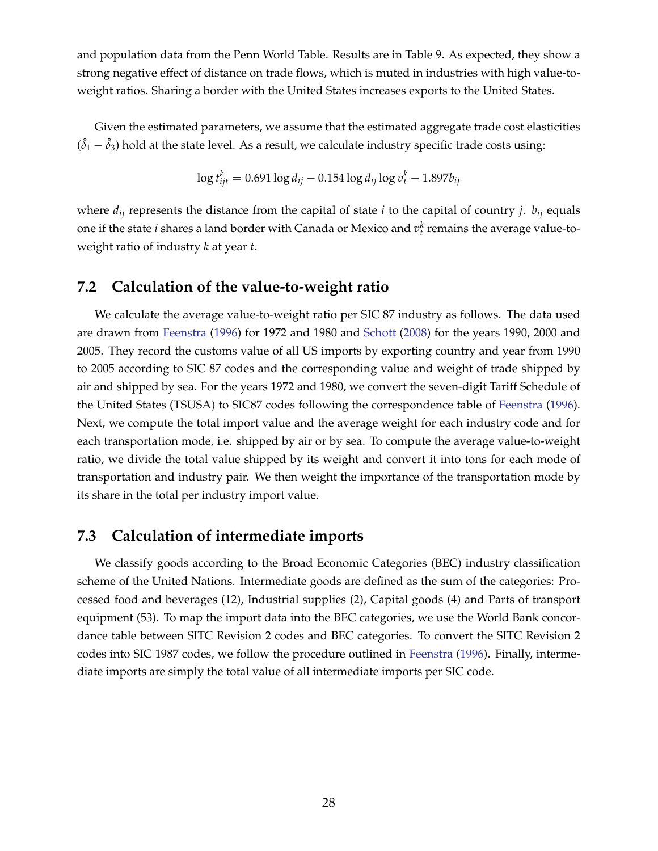and population data from the Penn World Table. Results are in Table [9.](#page-42-0) As expected, they show a strong negative effect of distance on trade flows, which is muted in industries with high value-toweight ratios. Sharing a border with the United States increases exports to the United States.

Given the estimated parameters, we assume that the estimated aggregate trade cost elasticities  $(\hat{\delta}_1 - \hat{\delta}_3)$  hold at the state level. As a result, we calculate industry specific trade costs using:

$$
\log t_{ijt}^k = 0.691 \log d_{ij} - 0.154 \log d_{ij} \log v_t^k - 1.897 b_{ij}
$$

where  $d_{ij}$  represents the distance from the capital of state *i* to the capital of country *j*.  $b_{ij}$  equals one if the state  $i$  shares a land border with Canada or Mexico and  $v_t^k$  remains the average value-toweight ratio of industry *k* at year *t*.

### **7.2 Calculation of the value-to-weight ratio**

We calculate the average value-to-weight ratio per SIC 87 industry as follows. The data used are drawn from [Feenstra](#page-25-9) [\(1996\)](#page-25-9) for 1972 and 1980 and [Schott](#page-26-11) [\(2008\)](#page-26-11) for the years 1990, 2000 and 2005. They record the customs value of all US imports by exporting country and year from 1990 to 2005 according to SIC 87 codes and the corresponding value and weight of trade shipped by air and shipped by sea. For the years 1972 and 1980, we convert the seven-digit Tariff Schedule of the United States (TSUSA) to SIC87 codes following the correspondence table of [Feenstra](#page-25-9) [\(1996\)](#page-25-9). Next, we compute the total import value and the average weight for each industry code and for each transportation mode, i.e. shipped by air or by sea. To compute the average value-to-weight ratio, we divide the total value shipped by its weight and convert it into tons for each mode of transportation and industry pair. We then weight the importance of the transportation mode by its share in the total per industry import value.

### **7.3 Calculation of intermediate imports**

We classify goods according to the Broad Economic Categories (BEC) industry classification scheme of the United Nations. Intermediate goods are defined as the sum of the categories: Processed food and beverages (12), Industrial supplies (2), Capital goods (4) and Parts of transport equipment (53). To map the import data into the BEC categories, we use the World Bank concordance table between SITC Revision 2 codes and BEC categories. To convert the SITC Revision 2 codes into SIC 1987 codes, we follow the procedure outlined in [Feenstra](#page-25-9) [\(1996\)](#page-25-9). Finally, intermediate imports are simply the total value of all intermediate imports per SIC code.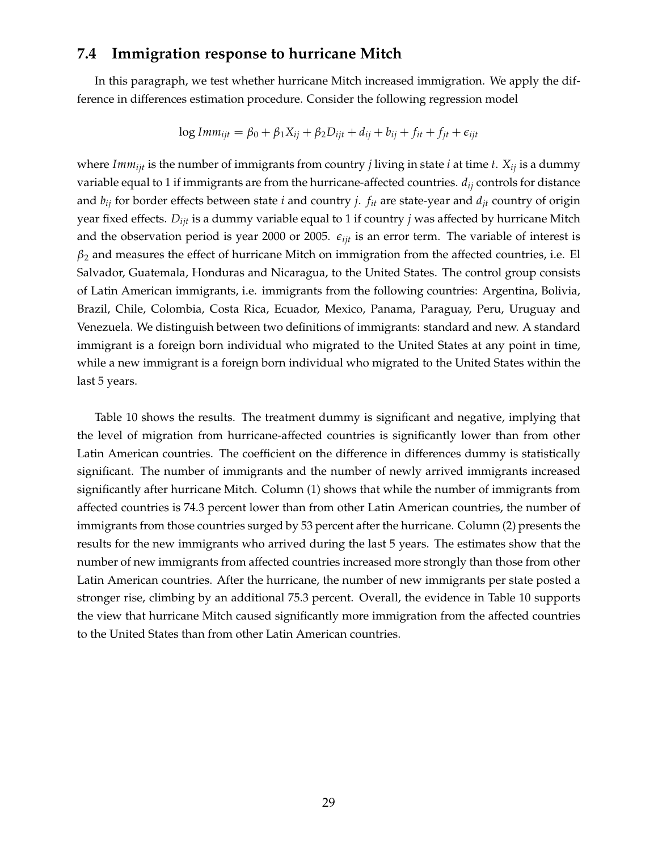### **7.4 Immigration response to hurricane Mitch**

In this paragraph, we test whether hurricane Mitch increased immigration. We apply the difference in differences estimation procedure. Consider the following regression model

$$
\log Imm_{ijt} = \beta_0 + \beta_1 X_{ij} + \beta_2 D_{ijt} + d_{ij} + b_{ij} + f_{it} + f_{jt} + \epsilon_{ijt}
$$

where *Imm<sub>ijt</sub>* is the number of immigrants from country *j* living in state *i* at time *t*.  $X_{ij}$  is a dummy variable equal to 1 if immigrants are from the hurricane-affected countries. *dij* controls for distance and  $b_{ij}$  for border effects between state *i* and country *j*.  $f_{it}$  are state-year and  $d_{it}$  country of origin year fixed effects. *Dijt* is a dummy variable equal to 1 if country *j* was affected by hurricane Mitch and the observation period is year 2000 or 2005.  $\epsilon_{ijt}$  is an error term. The variable of interest is  $\beta_2$  and measures the effect of hurricane Mitch on immigration from the affected countries, i.e. El Salvador, Guatemala, Honduras and Nicaragua, to the United States. The control group consists of Latin American immigrants, i.e. immigrants from the following countries: Argentina, Bolivia, Brazil, Chile, Colombia, Costa Rica, Ecuador, Mexico, Panama, Paraguay, Peru, Uruguay and Venezuela. We distinguish between two definitions of immigrants: standard and new. A standard immigrant is a foreign born individual who migrated to the United States at any point in time, while a new immigrant is a foreign born individual who migrated to the United States within the last 5 years.

Table [10](#page-43-0) shows the results. The treatment dummy is significant and negative, implying that the level of migration from hurricane-affected countries is significantly lower than from other Latin American countries. The coefficient on the difference in differences dummy is statistically significant. The number of immigrants and the number of newly arrived immigrants increased significantly after hurricane Mitch. Column (1) shows that while the number of immigrants from affected countries is 74.3 percent lower than from other Latin American countries, the number of immigrants from those countries surged by 53 percent after the hurricane. Column (2) presents the results for the new immigrants who arrived during the last 5 years. The estimates show that the number of new immigrants from affected countries increased more strongly than those from other Latin American countries. After the hurricane, the number of new immigrants per state posted a stronger rise, climbing by an additional 75.3 percent. Overall, the evidence in Table [10](#page-43-0) supports the view that hurricane Mitch caused significantly more immigration from the affected countries to the United States than from other Latin American countries.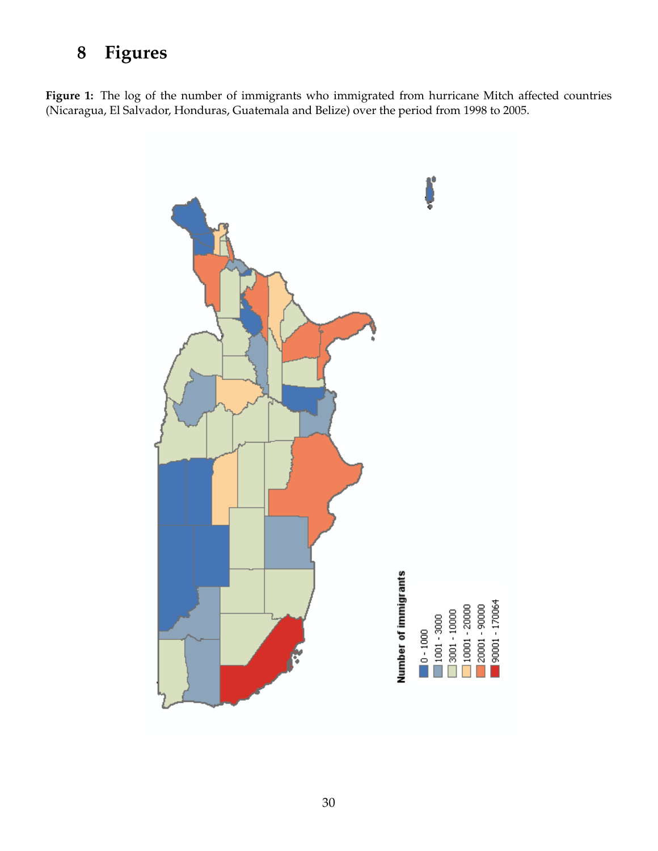# **8 Figures**

<span id="page-31-0"></span>Figure 1: The log of the number of immigrants who immigrated from hurricane Mitch affected countries (Nicaragua, El Salvador, Honduras, Guatemala and Belize) over the period from 1998 to 2005.

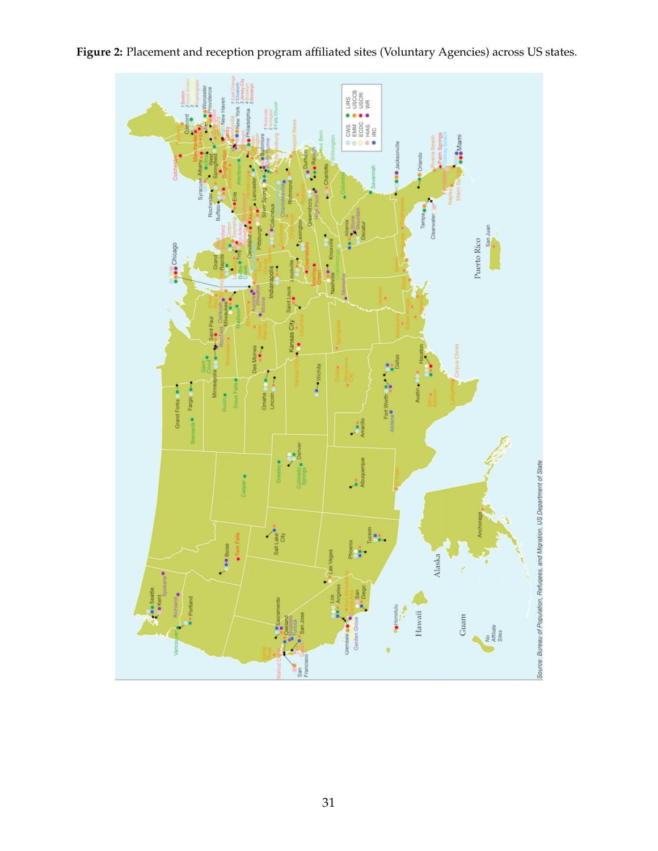

<span id="page-32-0"></span>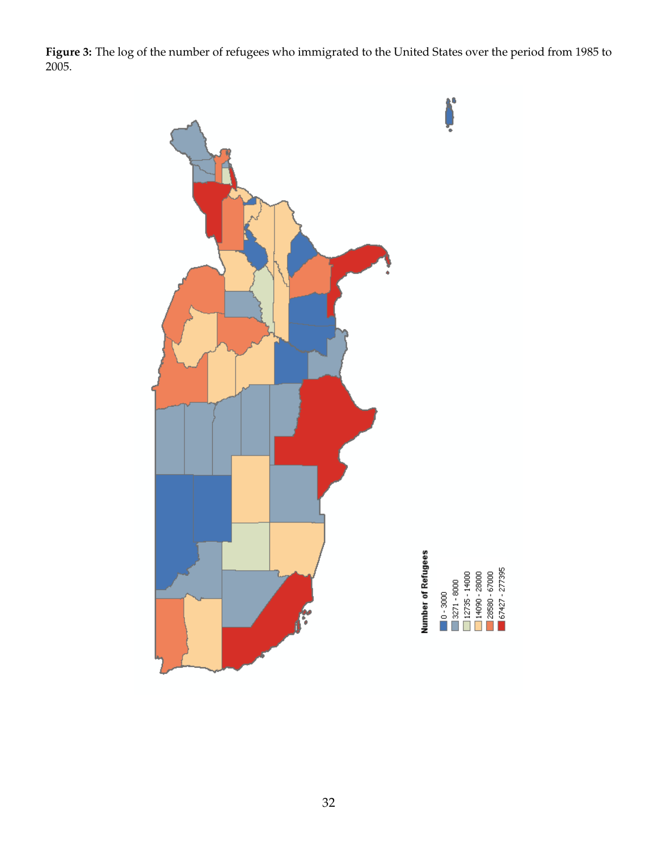<span id="page-33-0"></span>**Figure 3:** The log of the number of refugees who immigrated to the United States over the period from 1985 to 2005.

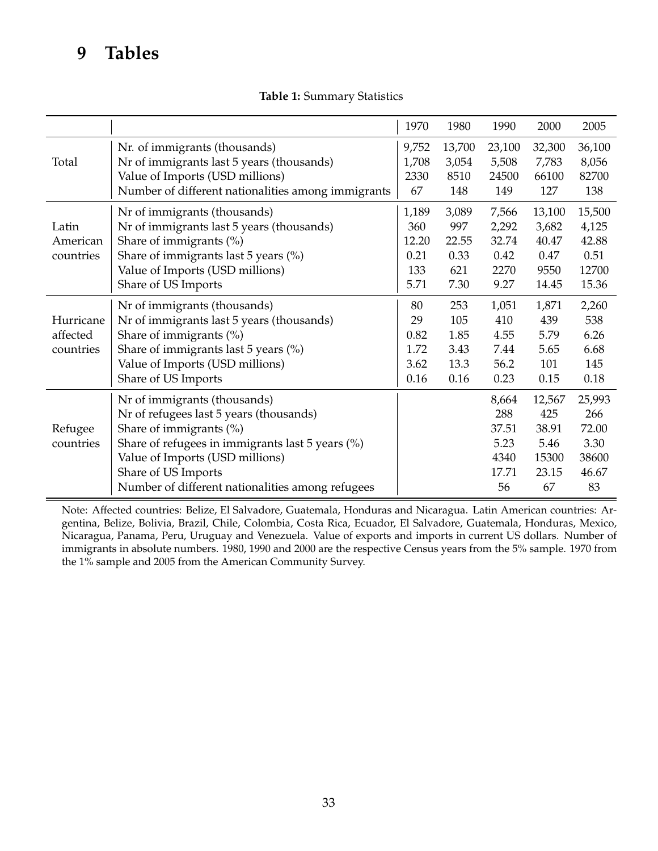# **9 Tables**

|  | Table 1: Summary Statistics |  |
|--|-----------------------------|--|
|--|-----------------------------|--|

<span id="page-34-0"></span>

|           |                                                    | 1970  | 1980   | 1990   | 2000   | 2005   |
|-----------|----------------------------------------------------|-------|--------|--------|--------|--------|
|           | Nr. of immigrants (thousands)                      | 9,752 | 13,700 | 23,100 | 32,300 | 36,100 |
| Total     | Nr of immigrants last 5 years (thousands)          | 1,708 | 3,054  | 5,508  | 7,783  | 8,056  |
|           | Value of Imports (USD millions)                    | 2330  | 8510   | 24500  | 66100  | 82700  |
|           | Number of different nationalities among immigrants | 67    | 148    | 149    | 127    | 138    |
|           | Nr of immigrants (thousands)                       | 1,189 | 3,089  | 7,566  | 13,100 | 15,500 |
| Latin     | Nr of immigrants last 5 years (thousands)          | 360   | 997    | 2,292  | 3,682  | 4,125  |
| American  | Share of immigrants (%)                            | 12.20 | 22.55  | 32.74  | 40.47  | 42.88  |
| countries | Share of immigrants last 5 years $(\%)$            | 0.21  | 0.33   | 0.42   | 0.47   | 0.51   |
|           | Value of Imports (USD millions)                    | 133   | 621    | 2270   | 9550   | 12700  |
|           | Share of US Imports                                | 5.71  | 7.30   | 9.27   | 14.45  | 15.36  |
|           | Nr of immigrants (thousands)                       | 80    | 253    | 1,051  | 1,871  | 2,260  |
| Hurricane | Nr of immigrants last 5 years (thousands)          | 29    | 105    | 410    | 439    | 538    |
| affected  | Share of immigrants (%)                            | 0.82  | 1.85   | 4.55   | 5.79   | 6.26   |
| countries | Share of immigrants last 5 years $(\%)$            | 1.72  | 3.43   | 7.44   | 5.65   | 6.68   |
|           | Value of Imports (USD millions)                    | 3.62  | 13.3   | 56.2   | 101    | 145    |
|           | Share of US Imports                                | 0.16  | 0.16   | 0.23   | 0.15   | 0.18   |
|           | Nr of immigrants (thousands)                       |       |        | 8,664  | 12,567 | 25,993 |
|           | Nr of refugees last 5 years (thousands)            |       |        | 288    | 425    | 266    |
| Refugee   | Share of immigrants (%)                            |       |        | 37.51  | 38.91  | 72.00  |
| countries | Share of refugees in immigrants last 5 years (%)   |       |        | 5.23   | 5.46   | 3.30   |
|           | Value of Imports (USD millions)                    |       |        | 4340   | 15300  | 38600  |
|           | Share of US Imports                                |       |        | 17.71  | 23.15  | 46.67  |
|           | Number of different nationalities among refugees   |       |        | 56     | 67     | 83     |

Note: Affected countries: Belize, El Salvadore, Guatemala, Honduras and Nicaragua. Latin American countries: Argentina, Belize, Bolivia, Brazil, Chile, Colombia, Costa Rica, Ecuador, El Salvadore, Guatemala, Honduras, Mexico, Nicaragua, Panama, Peru, Uruguay and Venezuela. Value of exports and imports in current US dollars. Number of immigrants in absolute numbers. 1980, 1990 and 2000 are the respective Census years from the 5% sample. 1970 from the 1% sample and 2005 from the American Community Survey.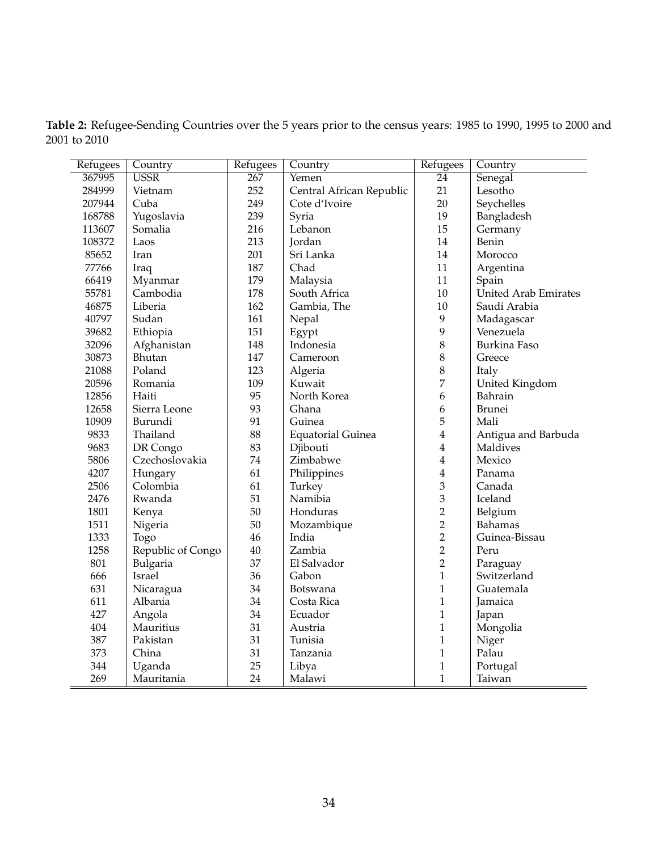<span id="page-35-0"></span>

| Table 2: Refugee-Sending Countries over the 5 years prior to the census years: 1985 to 1990, 1995 to 2000 and |  |  |  |
|---------------------------------------------------------------------------------------------------------------|--|--|--|
| 2001 to 2010                                                                                                  |  |  |  |

| Refugees   | Country           | Refugees         | Country                  | Refugees                | Country                     |
|------------|-------------------|------------------|--------------------------|-------------------------|-----------------------------|
| 367995     | <b>USSR</b>       | $\overline{267}$ | Yemen                    | $\overline{24}$         | Senegal                     |
| 284999     | Vietnam           | 252              | Central African Republic | 21                      | Lesotho                     |
| 207944     | Cuba              | 249              | Cote d'Ivoire            | 20                      | Seychelles                  |
| 168788     | Yugoslavia        | 239              | Syria                    | 19                      | Bangladesh                  |
| 113607     | Somalia           | 216              | Lebanon                  | 15                      | Germany                     |
| 108372     | Laos              | 213              | Jordan                   | 14                      | Benin                       |
| 85652      | Iran              | 201              | Sri Lanka                | 14                      | Morocco                     |
| 77766      | Iraq              | 187              | Chad                     | 11                      | Argentina                   |
| 66419      | Myanmar           | 179              | Malaysia                 | $11\,$                  | Spain                       |
| 55781      | Cambodia          | 178              | South Africa             | 10                      | <b>United Arab Emirates</b> |
| 46875      | Liberia           | 162              | Gambia, The              | 10                      | Saudi Arabia                |
| 40797      | Sudan             | 161              | Nepal                    | 9                       | Madagascar                  |
| 39682      | Ethiopia          | 151              | Egypt                    | 9                       | Venezuela                   |
| 32096      | Afghanistan       | 148              | Indonesia                | $\,8\,$                 | Burkina Faso                |
| 30873      | Bhutan            | 147              | Cameroon                 | 8                       | Greece                      |
| 21088      | Poland            | 123              | Algeria                  | 8                       | Italy                       |
| 20596      | Romania           | 109              | Kuwait                   | 7                       | United Kingdom              |
| 12856      | Haiti             | 95               | North Korea              | 6                       | Bahrain                     |
| 12658      | Sierra Leone      | 93               | Ghana                    | 6                       | <b>Brunei</b>               |
| 10909      | Burundi           | 91               | Guinea                   | 5                       | Mali                        |
| 9833       | Thailand          | 88               | <b>Equatorial Guinea</b> | $\overline{\mathbf{4}}$ | Antigua and Barbuda         |
| 9683       | DR Congo          | 83               | Djibouti                 | 4                       | Maldives                    |
| 5806       | Czechoslovakia    | 74               | Zimbabwe                 | 4                       | Mexico                      |
| 4207       | Hungary           | 61               | Philippines              | $\overline{\mathbf{4}}$ | Panama                      |
| 2506       | Colombia          | 61               | Turkey                   | 3                       | Canada                      |
| 2476       | Rwanda            | 51               | Namibia                  | 3                       | Iceland                     |
| 1801       | Kenya             | 50               | Honduras                 | $\overline{2}$          | Belgium                     |
| 1511       | Nigeria           | $50\,$           | Mozambique               | $\overline{2}$          | Bahamas                     |
| 1333       | Togo              | 46               | India                    | $\overline{2}$          | Guinea-Bissau               |
| 1258       | Republic of Congo | $40\,$           | Zambia                   | $\overline{2}$          | Peru                        |
| 801        | Bulgaria          | 37               | El Salvador              | $\sqrt{2}$              | Paraguay                    |
| 666        | Israel            | 36               | Gabon                    | $\mathbf{1}$            | Switzerland                 |
| 631        | Nicaragua         | 34               | Botswana                 | 1                       | Guatemala                   |
| 611        | Albania           | 34               | Costa Rica               | $\mathbf{1}$            | Jamaica                     |
| 427        | Angola            | 34               | Ecuador                  | $\mathbf{1}$            | Japan                       |
| 404        | Mauritius         | 31               | Austria                  | $\mathbf{1}$            | Mongolia                    |
| 387        | Pakistan          | 31               | Tunisia                  | $\mathbf{1}$            | Niger                       |
| 373        | China             | 31               | Tanzania                 | $\,1$                   | Palau                       |
| 344        | Uganda            | 25               | Libya                    | $\mathbf{1}$            | Portugal                    |
| 269<br>$=$ | Mauritania        | 24               | Malawi                   | $\mathbf{1}$            | Taiwan                      |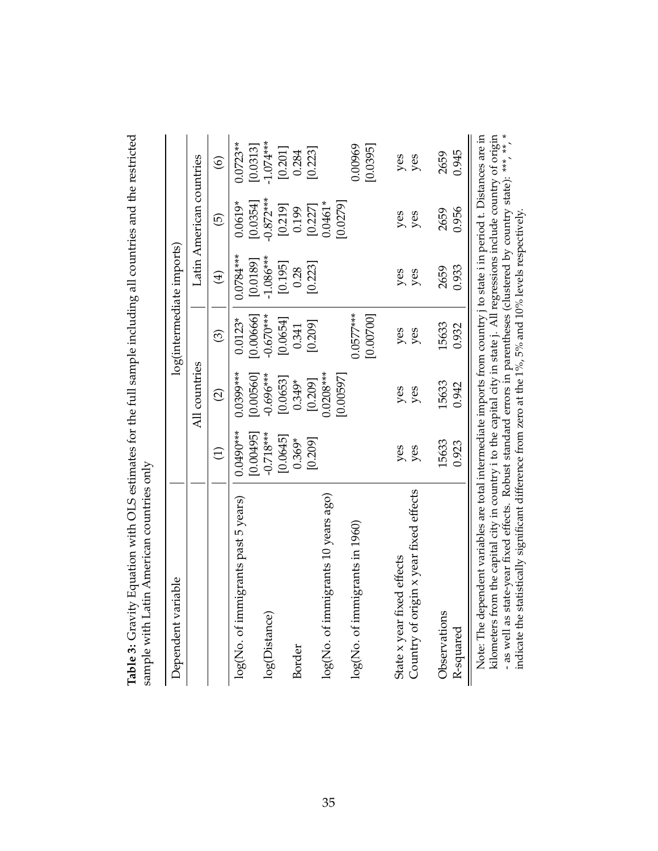<span id="page-36-0"></span>

| Dependent variable                                                                                                                                                                                                                                                                                                                                                                                                                                                                           |                          |                          |                          | log(intermediate imports) |                          |                        |
|----------------------------------------------------------------------------------------------------------------------------------------------------------------------------------------------------------------------------------------------------------------------------------------------------------------------------------------------------------------------------------------------------------------------------------------------------------------------------------------------|--------------------------|--------------------------|--------------------------|---------------------------|--------------------------|------------------------|
|                                                                                                                                                                                                                                                                                                                                                                                                                                                                                              |                          | All countries            |                          |                           | Latin American countries |                        |
|                                                                                                                                                                                                                                                                                                                                                                                                                                                                                              | $\bigoplus$              | $\widehat{c}$            | $\widehat{\odot}$        | $\bigoplus$               | $\widehat{\Theta}$       | $\widehat{\circ}$      |
| log(No. of immigrants past 5 years)                                                                                                                                                                                                                                                                                                                                                                                                                                                          | $0.0490***$<br>[0.00495] | $0.0399***$<br>[0.00560] | [0.00666]<br>$0.0123*$   | $0.0784***$<br>[0.0189]   | [0.0354]<br>$0.0619*$    | $0.0723**$<br>[0.0313] |
| log(Distance)                                                                                                                                                                                                                                                                                                                                                                                                                                                                                | $-0.718***$<br>[0.0645]  | $-0.696***$<br>[0.0653]  | $-0.670***$<br>[0.0654]  | $-1.086***$<br>[0.195]    | $-0.872***$<br>[0.219]   | $-1.074***$<br>[0.201] |
| Border                                                                                                                                                                                                                                                                                                                                                                                                                                                                                       | $0.369*$                 | $0.349*$                 | 0.341                    | 0.28                      | 0.199                    | 0.284                  |
| $\log$ (No. of immigrants 10 years ago)                                                                                                                                                                                                                                                                                                                                                                                                                                                      | [0.209]                  | $0.0208***$<br>[0.209]   | [0.209]                  | [0.223]                   | $0.0461*$<br>[0.227]     | [0.223]                |
|                                                                                                                                                                                                                                                                                                                                                                                                                                                                                              |                          | [0.00597]                |                          |                           | [0.0279]                 |                        |
| log(No. of immigrants in 1960)                                                                                                                                                                                                                                                                                                                                                                                                                                                               |                          |                          | $0.0577***$<br>[0.00700] |                           |                          | 0.00969<br>[0.0395]    |
| State x year fixed effects                                                                                                                                                                                                                                                                                                                                                                                                                                                                   | yes                      | yes                      | yes                      | yes                       | yes                      | yes                    |
| Country of origin x year fixed effects                                                                                                                                                                                                                                                                                                                                                                                                                                                       | yes                      | yes                      | yes                      | yes                       | yes                      | yes                    |
| Observations                                                                                                                                                                                                                                                                                                                                                                                                                                                                                 | 15633                    | 15633                    | 15633                    | 2659                      | 2659                     | 2659                   |
| R-squared                                                                                                                                                                                                                                                                                                                                                                                                                                                                                    | 0.923                    | 0.942                    | 0.932                    | 0.933                     | 0.956                    | 0.945                  |
| - as well as state-year fixed effects. Robust standard errors in parentheses (clustered by country state): ***, **, *<br>kilometers from the capital city in country i to the capital city in state j. All regressions include country of origin<br>Note: The dependent variables are total intermediate imports from country i to state i in period t. Distances are in<br>indicate the statistically significant difference from zero at the $1\%$ , $5\%$ and $10\%$ levels respectively. |                          |                          |                          |                           |                          |                        |

Table 3: Gravity Equation with OLS estimates for the full sample including all countries and the restricted **Table 3:** Gravity Equation with OLS estimates for the full sample including all countries and the restricted sample with Latin American countries only sample with Latin American countries only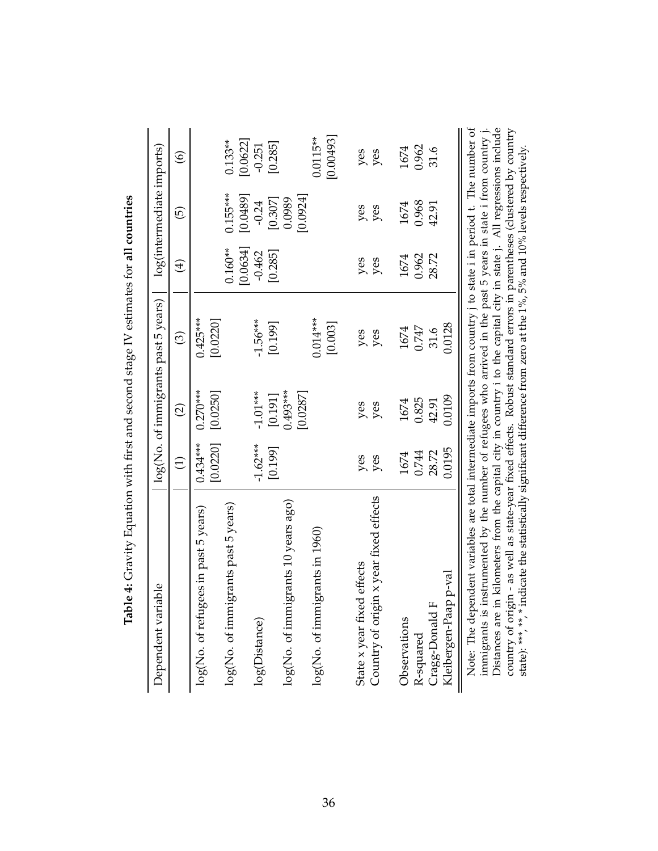| iable<br>Dependent vari                                                                                                                                                                                                                 |                 |                        | log(No. of immigrants past 5 years) |                       | log(intermediate imports) |                         |
|-----------------------------------------------------------------------------------------------------------------------------------------------------------------------------------------------------------------------------------------|-----------------|------------------------|-------------------------------------|-----------------------|---------------------------|-------------------------|
|                                                                                                                                                                                                                                         | $\widehat{\Xi}$ | $\widehat{\Omega}$     | ම                                   | $\bigoplus$           | $\widehat{\Theta}$        | $\circledcirc$          |
| log(No. of refugees in past 5 years)                                                                                                                                                                                                    | $0.434***$      | $0.270***$             | $0.425***$                          |                       |                           |                         |
|                                                                                                                                                                                                                                         | [0.0220]        | [0.0250]               | [0.0220]                            |                       |                           |                         |
| log(No. of immigrants past 5 years)                                                                                                                                                                                                     |                 |                        |                                     | [0.0634]<br>$0.160**$ | $0.155***$<br>[0.0489]    | [0.0622]<br>$0.133**$   |
| log(Distance)                                                                                                                                                                                                                           | $-1.62***$      | $-1.01***$             | $-1.56***$                          | $-0.462$              | $-0.24$                   | $-0.251$                |
|                                                                                                                                                                                                                                         | [0.199]         |                        | [0.199]                             | [0.285]               | [0.307]                   | [0.285]                 |
| log(No. of immigrants 10 years ago)                                                                                                                                                                                                     |                 | $0.493***$<br>[0.0287] |                                     |                       | [0.0924]<br>0.0989        |                         |
| log(No. of immigrants in 1960)                                                                                                                                                                                                          |                 |                        | $0.014***$<br>[0.003]               |                       |                           | [0.00493]<br>$0.0115**$ |
|                                                                                                                                                                                                                                         |                 |                        |                                     |                       |                           |                         |
| State x year fixed effects                                                                                                                                                                                                              | yes             | yes                    | yes                                 | yes                   | yes                       | yes                     |
| Country of origin x year fixed effects                                                                                                                                                                                                  | yes             | yes                    | yes                                 | yes                   | yes                       | yes                     |
| Observations                                                                                                                                                                                                                            | 1674            | 1674                   | 1674                                | 1674                  | 1674                      | 1674                    |
| R-squared                                                                                                                                                                                                                               | 0.744           | 0.825                  | 0.747                               | 0.962                 | 0.968                     | 0.962                   |
| щ<br>Cragg-Donald                                                                                                                                                                                                                       | 28.72           | 42.91                  | 31.6                                | 28.72                 | 42.91                     | 31.6                    |
| Kleibergen-Paap p-val                                                                                                                                                                                                                   | 0.0195          | 0.0109                 | 0.0128                              |                       |                           |                         |
| Note: The dependent variables are total intermediate imports from country i to state i in period t. The number of<br>instrumented by the number of refugees who arrived in the past 5 years in state i from country j.<br>immigrants is |                 |                        |                                     |                       |                           |                         |

immigrants is instrumented by the number of refugees who arrived in the past 5 years in state i from country j. Distances are in kilometers from the capital city in country i to the capital city in state j. All regressions include country of origin - as well as state-year fixed effects. Robust standard errors in parentheses (clustered by country state): \*\*\*, \*\*, \* indicate the statistically significant difference from zero at the 1%, 5% and 10% levels respectively.

Distances are in kilometers from the capital city in country i to the capital city in state j. All regressions include country of origin - as well as state-year fixed effects. Robust standard errors in parentheses (cluster

state): \*\*\*, \*\*, \* indicate the statistically significant difference from zero at the 1%, 5% and 10% levels respectively.

<span id="page-37-0"></span>Table 4: Gravity Equation with first and second stage IV estimates for all countries **Table 4:** Gravity Equation with first and second stage IV estimates for **all countries**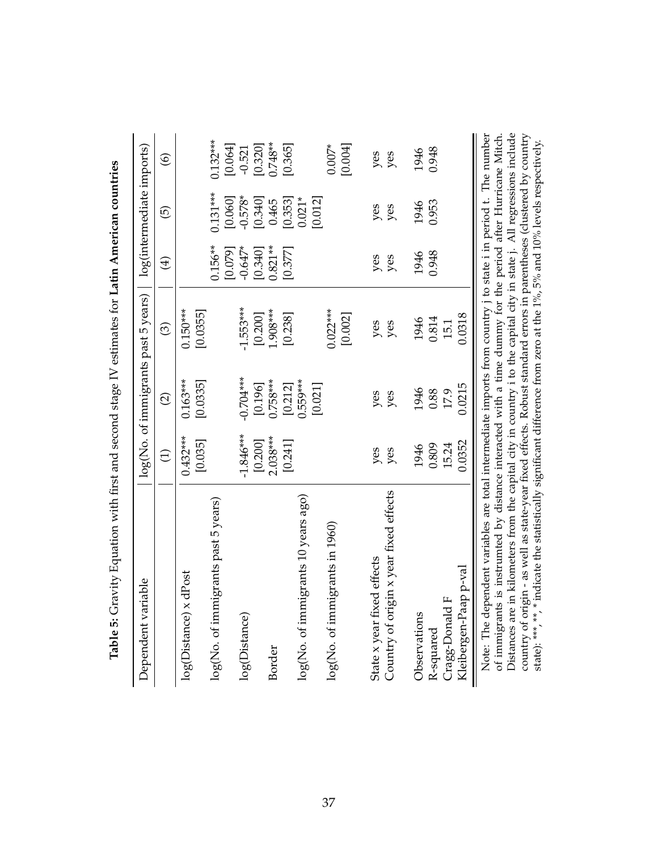| Dependent variable                                                                                                                                                                                                                   |                 |                    | log(No. of immigrants past 5 years) |             | log(intermediate imports) |                |
|--------------------------------------------------------------------------------------------------------------------------------------------------------------------------------------------------------------------------------------|-----------------|--------------------|-------------------------------------|-------------|---------------------------|----------------|
|                                                                                                                                                                                                                                      | $\widehat{\Xi}$ | $\widehat{\infty}$ | $\widehat{\odot}$                   | $\bigoplus$ | 6                         | $\circledcirc$ |
| log(Distance) x dPost                                                                                                                                                                                                                | $0.432***$      | $0.163***$         | $0.150***$                          |             |                           |                |
|                                                                                                                                                                                                                                      | [0.035]         | [0.0335]           | [0.0355]                            |             |                           |                |
| log(No. of immigrants past 5 years)                                                                                                                                                                                                  |                 |                    |                                     | $0.156**$   | $0.131***$                | $0.132***$     |
|                                                                                                                                                                                                                                      |                 |                    |                                     | [0.079]     | [0.060]                   | [0.064]        |
| log(Distance)                                                                                                                                                                                                                        | $-1.846***$     | $-0.704***$        | $-1.553***$                         | $-0.647*$   | $-0.578*$                 | $-0.521$       |
|                                                                                                                                                                                                                                      | [0.200]         | [0.196]            | [0.200]                             | [0.340]     | [0.340]                   | [0.320]        |
| Border                                                                                                                                                                                                                               | $2.038***$      | $0.758***$         | 1.908***                            | $0.821**$   | 0.465                     | $0.748**$      |
|                                                                                                                                                                                                                                      | [0.241]         | [0.212]            | [0.238]                             | [0.377]     | [0.353]                   | [0.365]        |
| $log(No.$ of immigrants $10$ years $aggo)$                                                                                                                                                                                           |                 | 0.559***           |                                     |             | $0.021*$                  |                |
|                                                                                                                                                                                                                                      |                 | [0.021]            |                                     |             | [0.012]                   |                |
| $log(No.$ of immigrants in $1960)$                                                                                                                                                                                                   |                 |                    | $0.022***$                          |             |                           | $0.007*$       |
|                                                                                                                                                                                                                                      |                 |                    | [0.002]                             |             |                           | [0.004]        |
|                                                                                                                                                                                                                                      |                 |                    |                                     |             |                           |                |
| State x year fixed effects                                                                                                                                                                                                           | yes             | yes                | yes                                 | yes         | yes                       | yes            |
| Country of origin x year fixed effects                                                                                                                                                                                               | yes             | yes                | yes                                 | yes         | yes                       | yes            |
|                                                                                                                                                                                                                                      |                 |                    |                                     |             |                           |                |
| Observations                                                                                                                                                                                                                         | 1946            | 1946               | 1946                                | 1946        | 1946                      | 1946           |
| R-squared                                                                                                                                                                                                                            | 0.809           | 0.88               | 0.814                               | 0.948       | 0.953                     | 0.948          |
| Cragg-Donald F                                                                                                                                                                                                                       | 15.24           | 17.9               | 15.1                                |             |                           |                |
| Kleibergen-Paap p-val                                                                                                                                                                                                                | 0.0352          | 0.0215             | 0.0318                              |             |                           |                |
| Note: The dependent variables are total intermediate imports from country j to state i in period t. The number                                                                                                                       |                 |                    |                                     |             |                           |                |
| Distances are in kilometers from the capital city in country i to the capital city in state j. All regressions include<br>of immigrants is instrumted by distance interacted with a time dummy for the period after Hurricane Mitch. |                 |                    |                                     |             |                           |                |

Distances are in kilometers from the capital city in country i to the capital city in state j. All regressions include country of origin - as well as state-year fixed effects. Robust standard errors in parentheses (clustered by country state): \*\*\*, \*\*, \* indicate the statistically significant difference from zero at the 1%, 5% and 10% levels respectively.

country of origin - as well as state-year fixed effects. Robust standard errors in parentheses (clustered by country state): \*\*\*, \*\*, \*indicate the statistically significant difference from zero at the 1%, 5% and 10% leve

<span id="page-38-0"></span>Table 5: Gravity Equation with first and second stage IV estimates for Latin American countries **Table 5:** Gravity Equation with first and second stage IV estimates for **Latin American countries**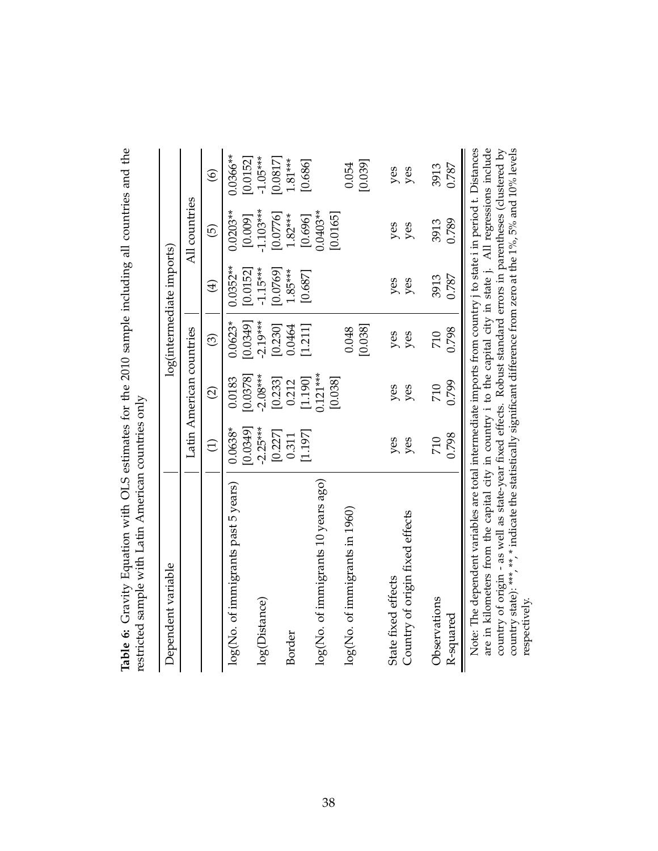| Dependent variable                                                                                                                                                                                                                                                                                                                                                                                                                                                   |                      |                          |                       | log(intermediate imports) |                       |                         |
|----------------------------------------------------------------------------------------------------------------------------------------------------------------------------------------------------------------------------------------------------------------------------------------------------------------------------------------------------------------------------------------------------------------------------------------------------------------------|----------------------|--------------------------|-----------------------|---------------------------|-----------------------|-------------------------|
|                                                                                                                                                                                                                                                                                                                                                                                                                                                                      |                      | Latin American countries |                       |                           | All countries         |                         |
|                                                                                                                                                                                                                                                                                                                                                                                                                                                                      | $\ominus$            | $\widehat{\infty}$       | $\odot$               | $\bigoplus$               | $\widetilde{\Theta}$  | $\widehat{\circ}$       |
| log(No. of immigrants past 5 years)                                                                                                                                                                                                                                                                                                                                                                                                                                  | $0.0638*$<br>[650.0] | 0.0378<br>0.0183         | $0.0623*$<br>[0.0349] | $0.0352**$<br>[0.0152]    | $0.0203**$<br>[0.009] | $0.0366***$<br>[0.0152] |
| log(Distance)                                                                                                                                                                                                                                                                                                                                                                                                                                                        | $-2.25***$           | $-2.08***$               | $-2.19***$            | $-1.15***$                | $-1.103***$           | $-1.05***$              |
|                                                                                                                                                                                                                                                                                                                                                                                                                                                                      | [0.227]              | [0.233]                  | [0.230]               | [0.0769]                  | [0.0776]              | [0.0817]                |
| Border                                                                                                                                                                                                                                                                                                                                                                                                                                                               | 0.311                | 0.212                    | 0.0464                | 1.85***                   | $1.82***$             | $1.81***$               |
|                                                                                                                                                                                                                                                                                                                                                                                                                                                                      | [1.197]              | $0.121***$<br>[1.190]    | [1.211]               | [0.687]                   | 0.0403**<br>[0.696]   | [0.686]                 |
| $\log({\rm No.\ of\ immigr}$ igrants $10$ years ago)                                                                                                                                                                                                                                                                                                                                                                                                                 |                      | [0.038]                  |                       |                           | [0.0165]              |                         |
| log(No. of immigrants in 1960)                                                                                                                                                                                                                                                                                                                                                                                                                                       |                      |                          | 0.048                 |                           |                       | 0.054                   |
|                                                                                                                                                                                                                                                                                                                                                                                                                                                                      |                      |                          | [0.038]               |                           |                       | [0.039]                 |
| State fixed effects                                                                                                                                                                                                                                                                                                                                                                                                                                                  | yes                  | yes                      | yes                   | yes                       | yes                   | yes                     |
| Country of origin fixed effects                                                                                                                                                                                                                                                                                                                                                                                                                                      | yes                  | yes                      | yes                   | yes                       | yes                   | yes                     |
| Observations                                                                                                                                                                                                                                                                                                                                                                                                                                                         | 710                  | 710                      | 710                   | 3913                      | 3913                  | 3913                    |
| R-squared                                                                                                                                                                                                                                                                                                                                                                                                                                                            | 0.798                | 0.799                    | 0.798                 | 0.787                     | 0.789                 | 0.787                   |
| are in kilometers from the capital city in country i to the capital city in state j. All regressions include<br>Note: The dependent variables are total intermediate imports from country j to state i in period t. Distances<br>country of origin - as well as state-year fixed effects. Robust standard errors in parentheses (clustered by<br>country state): ***, **, * indicate the statistically significant difference from zero at the 1%, 5% and 10% levels |                      |                          |                       |                           |                       |                         |

respectively.

respectively.

<span id="page-39-0"></span>Table 6: Gravity Equation with OLS estimates for the 2010 sample including all countries and the **Table 6:** Gravity Equation with OLS estimates for the 2010 sample including all countries and the  $\frac{1}{2}$ restricted sample with Latin American countries only  $mlim$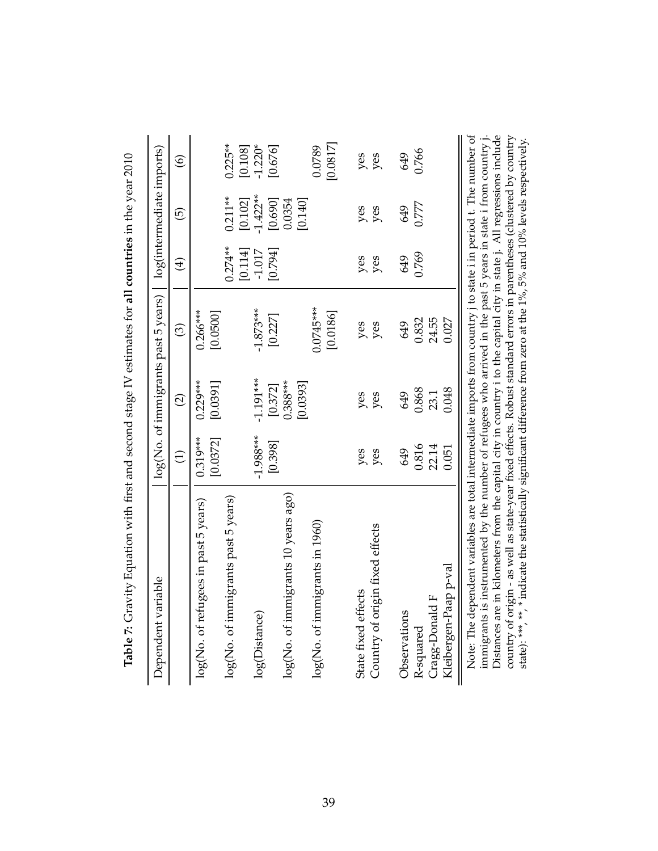| Dependent variable                                                                                                                                                                                                                   |                        |                                   | $log(No.$ of immigrants past 5 years) |                      | log(intermediate imports) |                      |
|--------------------------------------------------------------------------------------------------------------------------------------------------------------------------------------------------------------------------------------|------------------------|-----------------------------------|---------------------------------------|----------------------|---------------------------|----------------------|
|                                                                                                                                                                                                                                      | $\widehat{\Xi}$        | $\widehat{\Omega}$                | $\odot$                               | $\bigoplus$          | ම්                        | $\circledcirc$       |
| log(No. of refugees in past 5 years)                                                                                                                                                                                                 | $0.319***$<br>[0.0372] | $0.229***$<br>[0.0391]            | $0.266***$<br>[0.0500]                |                      |                           |                      |
| log(No. of immigrants past 5 years)                                                                                                                                                                                                  |                        |                                   |                                       | $0.274**$<br>[0.114] | $0.211**$<br>[0.102]      | $0.225**$<br>[0.108] |
| log(Distance)                                                                                                                                                                                                                        | $-1.988***$            | $-1.191***$                       | $-1.873***$                           | $-1.017$             | $-1.422**$<br>[0.690]     | $-1.220*$            |
| log(No. of immigrants 10 years ago)                                                                                                                                                                                                  | [0.398]                | $0.388***$<br>[0.0393]<br>[0.372] | [0.227]                               | [0.794]              | [0.140]<br>0.0354         | [0.676]              |
| log(No. of immigrants in 1960)                                                                                                                                                                                                       |                        |                                   | $0.0745***$<br>[0.0186]               |                      |                           | [0.0817]<br>0.0789   |
| Country of origin fixed effects<br>State fixed effects                                                                                                                                                                               | yes<br>yes             | yes<br>yes                        | yes<br>yes                            | yes<br>yes           | yes<br>yes                | yes<br>yes           |
| Observations                                                                                                                                                                                                                         | 649                    | 649                               | 649                                   | 649                  | 649                       | 649                  |
| R-squared                                                                                                                                                                                                                            | 0.816                  | 0.868                             | 0.832                                 | 0.769                | 0.777                     | 0.766                |
| Cragg-Donald F                                                                                                                                                                                                                       | 22.14                  | 23.1                              | 24.55                                 |                      |                           |                      |
| Kleibergen-Paap p-val                                                                                                                                                                                                                | 0.051                  | 0.048                             | 0.027                                 |                      |                           |                      |
| Note: The dependent variables are total intermediate imports from country i to state i in period t. The number of<br>immigrants is instrumented by the number of refugees who arrived in the past 5 years in state i from country j. |                        |                                   |                                       |                      |                           |                      |

immigrants is instrumented by the number of refugees who arrived in the past 5 years in state i from country j. Distances are in kilometers from the capital city in country i to the capital city in state j. All regressions include country of origin - as well as state-year fixed effects. Robust standard errors in parentheses (clustered by country state): \*\*\*, \*\*, \* indicate the statistically significant difference from zero at the 1%, 5% and 10% levels respectively.

Distances are in kilometers from the capital city in country i to the capital city in state j. All regressions include country of origin - as well as state-year fixed effects. Robust standard errors in parentheses (cluste

<span id="page-40-0"></span>**Table 7:** Gravity Equation with first and second stage IV estimates for all countries in the year  $2010$ **Table 7:** Gravity Equation with first and second stage IV estimates for **all countries** in the year 2010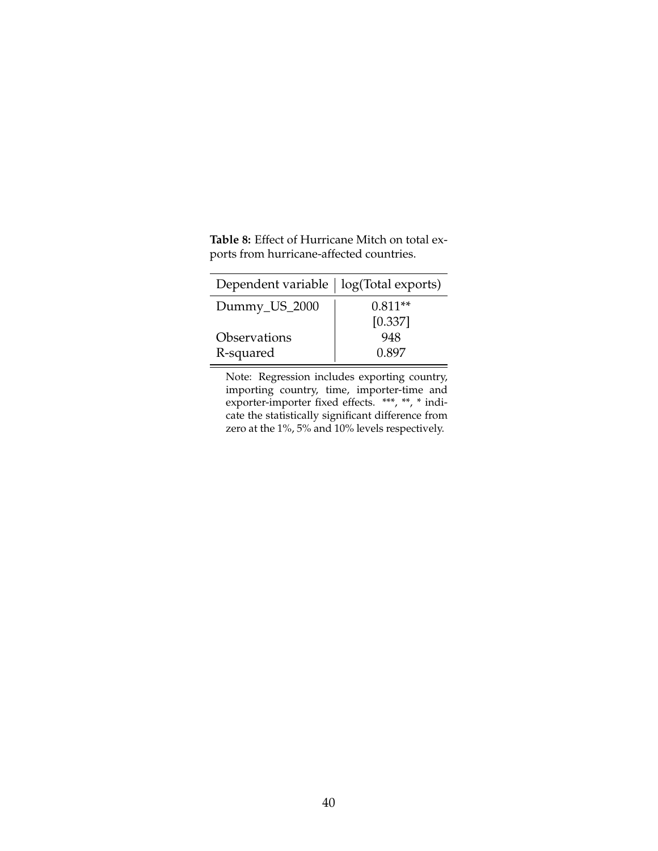| Dependent variable   log(Total exports) |           |
|-----------------------------------------|-----------|
| Dummy_US_2000                           | $0.811**$ |
|                                         | [0.337]   |
| Observations                            | 948       |
| R-squared                               | 0.897     |

<span id="page-41-0"></span>**Table 8:** Effect of Hurricane Mitch on total exports from hurricane-affected countries.

Note: Regression includes exporting country, importing country, time, importer-time and exporter-importer fixed effects. \*\*\*, \*\*, \* indicate the statistically significant difference from zero at the 1%, 5% and 10% levels respectively.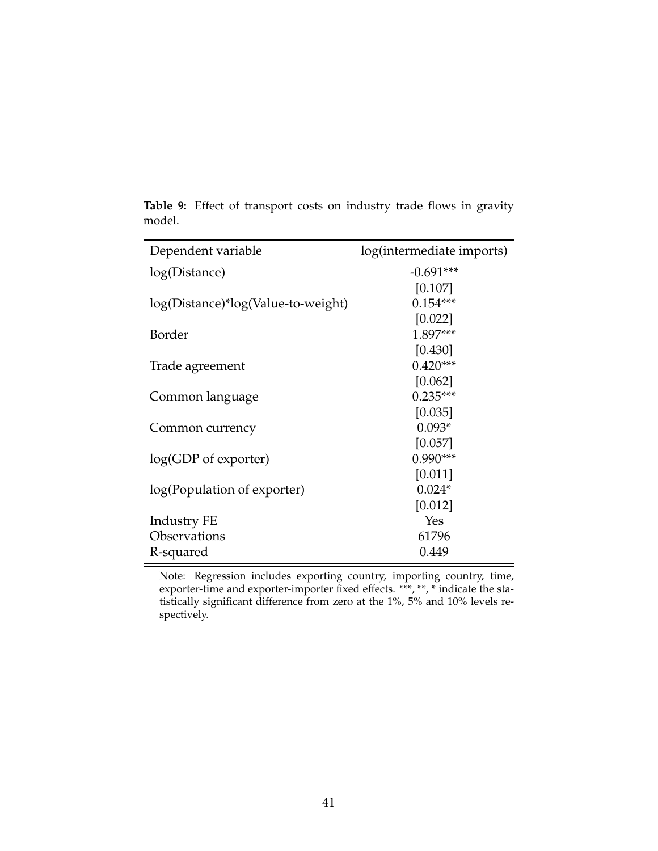| Dependent variable                 | log(intermediate imports) |
|------------------------------------|---------------------------|
| log(Distance)                      | $-0.691***$               |
|                                    | [0.107]                   |
| log(Distance)*log(Value-to-weight) | $0.154***$                |
|                                    | [0.022]                   |
| Border                             | 1.897***                  |
|                                    | [0.430]                   |
| Trade agreement                    | $0.420***$                |
|                                    | [0.062]                   |
| Common language                    | $0.235***$                |
|                                    | [0.035]                   |
| Common currency                    | $0.093*$                  |
|                                    | [0.057]                   |
| $log(GDP of$ exporter)             | $0.990***$                |
|                                    | [0.011]                   |
| log(Population of exporter)        | $0.024*$                  |
|                                    | [0.012]                   |
| Industry FE                        | Yes                       |
| Observations                       | 61796                     |
| R-squared                          | 0.449                     |

<span id="page-42-0"></span>**Table 9:** Effect of transport costs on industry trade flows in gravity model.

Note: Regression includes exporting country, importing country, time, exporter-time and exporter-importer fixed effects. \*\*\*, \*\*, \* indicate the statistically significant difference from zero at the 1%, 5% and 10% levels respectively.